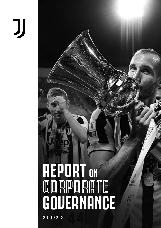# JJ

# **REPORT ON CORPORATE GOVERNANCE** 2020/2021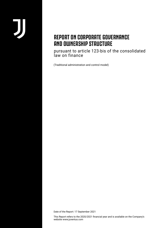# **REPORT ON CORPORATE GOVERNANCE AND OWNERSHIP STRUCTURE**

pursuant to article 123-bis of the consolidated law on finance

(Traditional administration and control model)

Date of the Report: 17 September 2021

This Report refers to the 2020/2021 financial year and is available on the Company's website www.juventus.com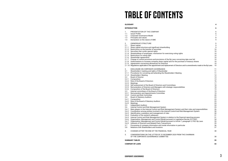|                                                                                                                                                  | 6                                                                 |
|--------------------------------------------------------------------------------------------------------------------------------------------------|-------------------------------------------------------------------|
|                                                                                                                                                  | 6<br>6<br>7<br>8<br>9                                             |
| g voting rights<br>aws concerning take over bid.<br>for the purchase of treasury shares<br>nt of Directors and to amendments made to the By-Laws | 9<br>9<br>9<br>10<br>10<br>10<br>10<br>10<br>10<br>10<br>10<br>10 |
| ers' Meeting                                                                                                                                     | 11<br>11<br>11<br>12<br>13<br>13<br>16<br>17                      |
| tees<br>c responsibilities                                                                                                                       | 18<br>18<br>19<br>19<br>19<br>20<br>23<br>23<br>23<br>24<br>24    |
| ent System and their roles and responsibilities<br>ntrol and Risk Management System                                                              | 25<br>26<br>30<br>30<br>31                                        |
| on to the financial reporting process<br>t to Legislative Decree 231/2001<br>t to Article 7, paragraph 5, FIGC By-Laws                           | 31<br>34<br>35<br>35                                              |
| tion in particular                                                                                                                               | 36<br>37                                                          |
|                                                                                                                                                  | 38                                                                |
| 2020 FROM THE CHAIRMAN                                                                                                                           | 38                                                                |
|                                                                                                                                                  | 39                                                                |
|                                                                                                                                                  | 43                                                                |

# **TABLE OF CONTENTS**

### **GLOSSARY 4**

### **INTRODUCTION 6**

- 1. PRESENTATION OF THE COMPANY
- 1.1 Issuer Profile
- 1.2 Corporate Governance Model
- 1.3 Principles and values
- 1.4 Declaration on the nature of SME
- 2. OWNERSHIP STRUCTURE<br>2.1 Share capital
- Share capital
- 2.1.1 Share capital structure and significant shareholding
- 2.1.2 Restrictions on the transfer of securities
- 2.1.3 Securities that confer special rights
- 2.1.4 Shareholdings of employees: mechanism for exercising
- 2.1.5 Restrictions on voting right
- 2.1.6 Shareholder agreements
- 2.1.7 Change of control provisions and provisions of the By-L
- 2.1.8 Authorisations to increase company share capital and for
- 2.1.9 Agreements concerning allowances for Directors
- 2.1.10 Regulations applicable to the appointment and replacemen
- 
- 3. DISCLOSURE ON CORPORATE GOVERNANCE<br>3.1 Shareholders' meeting and rights of Sharehold Shareholders' meeting and rights of Shareholder
- 3.1.1 Procedures for convening and attending the Shareholde
- 3.1.2 Shareholders' Meeting
- 3.2 Board of Director
- 3.2.1 Composition
- 3.2.2 Role of the Board of Directors
- 3.2.3 Meetings
- 3.2.4 Self-assessment of the Board of Directors and Committe
- 3.2.5 Remuneration of Directors and Managers with strategic
- 3.2.6 Composition of the Board of Directors
- 3.3 Internal committees of the Board of Directors 19
- 3.3.1 Remuneration and Appointments Committee
- 3.3.2 Control and Risk Committee
- 3.4 Board of Statutory Auditors
- 3.4.1 Composition
- 3.4.2 Role of the Board of Statutory Auditors
- 3.4.3 Meetings
- 3.5 Independent Auditors
- 3.6 Internal Control and Risk Management System
- 3.6.1 Main players in the Internal Control and Risk Management
- 3.6.2 Coordination among entities involved in the Internal Co
- 3.6.3 Identification, evaluation and management of risks
- 
- 3.6.4 Evaluation of the system's adequacy
- 3.6.5 Internal Control and Risk Management System in relation
- 3.6.6 Organisation, Management and Control Model pursuant
- 3.6.7 Organisation, Management and Control Model pursuant
- 3.6.9 Interests of Directors and Related Party Transactions
- 3.7 Processing of company information and inside information
- 3.8 Relations with Shareholders and Investors
- 4. CHANGES AFTER THE END OF THE FINANCIAL YEAR
- 5. CONSIDERATIONS ON THE LETTER OF 22 DECEMBER OF THE CORPORATE GOVERNANCE COMMITTEE

### **SUMMARY TABLES 39**

**COMPANY BY-LAWS 43**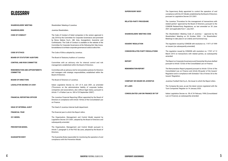# **GLOSSARY**

**SHAREHOLDERS' MEETING**

**SHAREHOLDERS** 

**SUPERVISORY BODY**

**RELATED-PARTY PROCEDURE**

Shareholders' Meeting of Juventus.

Juventus Shareholders.

| <b>CODE OF CONDUCT</b>                                   | The Code of Conduct of listed companies in the version approved in<br>July 2018 by the Committee for Corporate Governance and promoted<br>by Borsa Italiana S.p.A., ABI, Ania, Assogestioni, Assonime and           | <b>SHAREHOLDERS' MEETING CODE</b>         |
|----------------------------------------------------------|---------------------------------------------------------------------------------------------------------------------------------------------------------------------------------------------------------------------|-------------------------------------------|
|                                                          | Confindustria. The Code of Conduct is available on the website of the<br>Committee for Corporate Governance at the following link: http://www.<br>borsaitaliana.it/comitato-corporate-governance/codice/codice.htm. | <b>ISSUERS' REGULATION</b>                |
| <b>CODE OF ETHICS</b>                                    | The Code of Ethics adopted by Juventus.                                                                                                                                                                             | <b>CONSOB RELATED-PARTY REGULATIONS</b>   |
| <b>BOARD OF STATUTORY AUDITORS</b>                       | The Board of Statutory Auditors of Juventus                                                                                                                                                                         |                                           |
| <b>CONTROL AND RISK COMMITTEE</b>                        | Committee with an advisory role for internal control and risk<br>management, established within the Board of Directors.                                                                                             | <b>REPORT</b>                             |
| <b>REMUNERATION AND APPOINTMENTS</b><br><b>COMMITTEE</b> | Committee with an advisory role for remuneration policies for Directors<br>and managers with strategic responsibilities, established within the<br>Board of Directors.                                              | <b>REMUNERATION REPORT</b>                |
| <b>BOARD OF DIRECTORS</b>                                | The Board of Directors of Juventus.                                                                                                                                                                                 | <b>COMPANY OR ISSUER OR JUVENTUS</b>      |
| <b>LEGISLATIVE DECREE 231/2001</b>                       | Italian Legislative Decree no. 231 of 8 June 2001, as amended<br>("Provisions on the administrative liability of corporate bodies,<br>companies and associations, also without legal status, pursuant to            | <b>BY-LAWS</b>                            |
|                                                          | Article 11 of Italian Law no. 300 of 29 September 2000").                                                                                                                                                           | <b>CONSOLIDATED LAW ON FINANCE OR TUF</b> |
| <b>FINANCIAL REPORTING OFFICER</b>                       | The Juventus Financial Reporting Officer appointed by the Board of<br>Directors in compliance with Article 154-bis of the Consolidated Law<br>on Finance.                                                           |                                           |
| <b>HEAD OF INTERNAL AUDIT</b>                            | The Head of Juventus Internal Audit department.                                                                                                                                                                     |                                           |
| <b>FINANCIAL YEAR</b>                                    | The financial year to which the Report refers.                                                                                                                                                                      |                                           |
| 231 MODEL                                                | The Organisation, Management and Control Model required by<br>Legislative Decree 231/2001, adopted by the Board of Directors and<br>subsequently amended.                                                           |                                           |
| <b>PREVENTION MODEL</b>                                  | The Organisation, Management and Control Model pursuant to<br>Article 7, paragraph 5, of the FIGC By-Laws, adopted by the Board of<br>Directors.                                                                    |                                           |
| <b>GUARANTEE BODY</b>                                    | The Guarantee Body responsible for monitoring the operation of and<br>compliance with the Prevention Model.                                                                                                         |                                           |

The Supervisory Body appointed to control the operation of and compliance with the 231 Model, established by the Board of Directors pursuant to Legislative Decree 231/2001.

The Juventus "Procedure for the management of transactions with related parties" approved by the Board of Directors, pursuant to the CONSOB Related-Party Regulations, as last amended on 30 June 2021 and applicable from 1 July 2021.

The Shareholders' Meeting Code of Juventus – approved by the Shareholders' Meeting on 26 October 2004 – for Shareholders' Meetings to take place in an orderly and functional way.

The regulation issued by CONSOB with resolution no. 11971 of 1999 on issuers (as subsequently amended).

The regulation issued by CONSOB with resolution no. 17221 of 12 March 2010 on transactions with related parties, as subsequently amended.

The Report on Corporate Governance and Ownership Structure drafted pursuant to Article 123-*bis* of the Consolidated Law on Finance.

The Remuneration Report prepared pursuant to Article 123-*ter* of the Consolidated Law on Finance and Article 84-*quater* of the Issuers' Regulation and in compliance with Schedule 7-*bis* of Annex 3A to the Issuers' Regulation.

Juventus Football Club S.p.A., the Issuer to which the Report refers.

The Company By-Laws, as per the latest version registered with the Turin Companies' Register on 14 January 2020.

Italian Legislative Decree no. 58 of 24 February 1998 (Consolidated Law on Finance), as subsequently amended.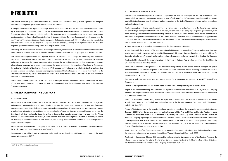# **INTRODUCTION**

This Report, approved by the Board of Directors of Juventus on 17 September 2021, provides a general and complete overview of the corporate governance system adopted by Juventus.

In compliance with specific regulatory and legal requirements<sup>1</sup> and in line with the recommendations of Borsa Italiana S.p.A., the Report contains information on the ownership structure and the compliance of Juventus with the Code of Conduct, explaining the choices made in applying the corporate governance principles and the corporate governance practices actually applied. It should be noted that on 31 January 2020, the Corporate Governance Committee approved the new Corporate Governance Code and that the companies that adopt this code apply it from the first financial year starting after 31 December 2020 (i.e. starting from 1 July 2021 with reference to Juventus), informing the market in the Report on corporate governance and ownership structure to be published in 2022.

Specifically, the Report describes the overall corporate governance system adopted by Juventus and the concrete application procedures in the Financial Year of the recommendations contained in the Code of Conduct "principles" and "application criteria".

This Report, which is published in the "Corporate Governance" section of the Company's website www.juventus.com and on the authorised storage mechanism www.1info.it, consists of five sections: the first describes the profile, structure and values of Juventus, the second focuses on information on the ownership structure; the third analyses and provides information on corporate governance, in particular on the implementation of the provisions of the Code of Conduct, on the main characteristics of the Internal Control and Risk Management System, also in relation to the financial reporting process, and, more generally, the main governance principles applied, the fourth outlines any changes from the close of the reference year; the fifth reports the considerations on the letter of the chairman of the Corporate Governance Committee published in the reference year.

The information in this Report refers to the 2020/2021 financial year, save for updates on specific issues during the Board of Directors' meeting approving this report. As indicated in paragraph 5, no further changes were made to the Corporate Governance structure.

### **1. PRESENTATION OF THE COMPANY**

### 1.1 ISSUER PROFILE

Juventus is a professional football club listed on the Mercato Telematico Azionario ("**MTA**") regulated market organised and managed by Borsa Italiana S.p.A. which, thanks to its more than century-long history, has become one of the most representative and popular football teams at domestic and international level. The Company's core business is participation in national and international competitions and the organisation of matches. Its main sources of income come from the licensing of television and media rights (in relation to the matches played), sponsorships, revenues from the Allianz stadium and friendly matches, direct retail, e-commerce and trademark licensing for the creation of products, as well as the marketing of additional services to fans. Moreover, the Company earns additional revenues from the management of players' registration rights.

Juventus is the parent company of the group of the same name, whose consolidation procedure includes the Issuer and the wholly-owned company B&W Nest Srl (the "**Group**").

The Company is owned by EXOR N.V., a company under Dutch law also listed on the MTA and in turn owned by the Dutch company Giovanni Agnelli B.V.

### 1.2 CORPORATE GOVERNANCE MODEL

The corporate governance system of Juventus, comprising rules and methodologies for planning, management and control, which are necessary for Company operations, was defined by the Board of Directors in compliance with regulations applicable to the Company as a listed issuer, and as a signatory to the Code of Conduct and based on international and national best practices.

The Issuer adopts a traditional type of administration system, which, save for the functions of the Shareholders' Meeting, assigns strategic management to the Board of Directors, which heads up the company's corporate governance system, and supervisory functions to the Board of Statutory Auditors. Moreover, the Board has set up two internal committees to advise and make proposals to the Board itself: the Control and Risk Committee and the Remuneration and Appointments Committee. Minutes of each Committee meeting are recorded and the Chairman of the Committee provides information on it at the first useful Board of Directors' meeting.

Auditing is assigned to independent auditors appointed by the Shareholders' Meeting.

In compliance with the provisions of the By-laws, the Board of Directors has granted the Chairman and the Vice Chairman similar management powers, as further specified in paragraph 3.2 below. However, functions and responsibilities for determining the Company's strategic and organisational guidelines are the exclusive responsibility of the Board of Directors.

The Board of Directors, with the favourable opinion of the Board of Statutory Auditors, has appointed the Chief Financial Officer as the Financial Reporting Officer.

The Board of Directors, on the proposal of the director in charge of the internal control and risk management system and after obtaining the favourable opinion of the Control and Risks Committee, as well as having consulted the Board of Statutory Auditors, appointed, in January 2021, the new Head of the Internal Audit department, who joined the Company operationally on 1 April 2021.

The Control and Risk Committee acts also as the Related-Party Committee, as governed by CONSOB Related-Party Regulations.

*Revision of the organisational and operational model and new senior management organisational structure* 

As part of the process of revising the operational and organisational model that was launched in May 2020, the Company adopted a new organisational structure that involves the concentration of its activities in two macro-structures: the Football Area and the Business Area.

The coordination of each area is assigned to a Managing Director, who reports directly to the Executive Chairman, Andrea Agnelli: Fabio Paratici, for the Football Area, and Stefano Bertola, for the Business Area. The contract with Fabio Paratici ended on 30 June 2021.

As part of both the revision of the organisational and operational model and the new senior management structure, on 4 January 2021 Stefano Cerrato was appointed as the Company's Chief Financial Officer and Investor Relator, replacing Stefano Bertola who had taken on those positions on a pro-tempore basis in July 2020. Moreover, two new individuals joined the Company, reporting directly to the Executive Chairman Andrea Agnelli: Cesare Gabasio as General Counsel and Chief Legal Officer and Tiziana Zancan as Chief People Officer. At the date of the Report, the employment relationship between Juventus and Tiziana Zancan was terminated. Starting from 1 August 2021, the position of Chief People and Culture Officer has been entrusted to Greta Bodino.

As of 1 April 2021, Stefano Cerrato, who reports to the Managing Director of the Business Area Stefano Bertola, replaced the latter, who had assumed pro tempore the position of Financial Reporting Officer in July 2020.

The Board of Directors on 30 June 2021 resolved to assign proxies for the management of the Football Area and the related powers to Maurizio Arrivabene, director of the Company, elected by the Shareholders' Meeting held on 25 October 2018 and taken from the list presented by the majority shareholder EXOR N.V.

*<sup>1</sup> Article 123-bis of the Consolidated Law on Finance*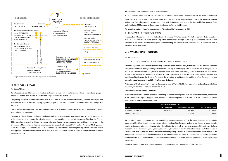### 1.3 PRINCIPLES AND VALUES

### *The Code of Ethics*

Juventus seeks to establish and consolidate a relationship of trust with its stakeholders, defined as individuals, groups or institutions that have an interest in how the company's activities are carried out.

The guiding values of Juventus are established in the Code of Ethics; all corporate bodies, Juventus employees and everyone who works to achieve company objectives, as part of their own functions and responsibilities, shall comply with this Code.

The Code of Ethics establishes the rules of conduct to adopt when managing Company activities, as well as the duties and responsibilities of employees.

The Code of Ethics, along with all other regulations, policies, procedures and provisions issued by the Company, is part of the programme that ensures the effective prevention and identification of any infringements of the law; the Code of Ethics contains, among other things, the general principles that cannot be derogated from and is an integral part of the Organisation, Management and Control Model pursuant to Legislative Decree 231/2001 and the Prevention Model pursuant to Article 7, paragraph 5, of the FIGC By-Laws, as well as a key element of the anti-corruption regulations. The latest update was approved by the Board of Directors on 28 May 2020 and the updated version is available on the Company's website www.juventus.com.



\* Original employer pursuant to Article 2 of Legislative Decree no. 81/2008.

### *Responsible and sustainable approach: Sustainability Report*

In 2013, Juventus was among the first football clubs to take up the challenge of sustainability and talk about sustainability.

Today, aware both of its role in the football world as a Club, and of the responsibilities of its social and environmental actions as a football company, Juventus contributes actively to the achievement of the Sustainable Development Goals indicated in the 2030 Agenda for Sustainable Development of the United Nations.

For more information: https://www.juventus.com/it/sostenibilita/#lanostrasostenibilit

1.4 DECLARATION ON THE NATURE OF SME

Please note that the Company does not fall within the definition of "SME" pursuant to Article 1, paragraph 1, letter w-quater.1) of the TUF and Article 2-ter of the Issuers' Regulation, as the simple average of the daily capitalisations calculated with reference to the official Juventus share price, recorded during the Financial Year, was more than € 500 million and, in particular, was € 960 million.

### **2. OWNERSHIP STRUCTURE**

### 2.1 SHARE CAPITAL

2.1.1 SHARE CAPITAL STRUCTURE AND SIGNIFICANT SHAREHOLDINGS

The share capital of Juventus consists of ordinary shares, which are nominal, freely transferable and are issued in electronic form, in the centralised management system of Monte Titoli S.p.A. Without prejudice to the provisions of paragraph 2.1.3. with reference to increased votes (so-called *loyalty shares*), each share gives the right to one vote at all the ordinary and extraordinary shareholders' meetings in addition to other asset-related and administrative rights pursuant to applicable provisions of the law and the By-Laws. As regards the allocation of profits and the liquidation of the Company, reference should be made to Articles 26 and 31 of the Company By-Laws.

At the date of the Report, the Company's share capital was € 11,406,986.56, fully subscribed and paid up, divided into 1,330,251,988 ordinary shares with no nominal value.

The Company shares are listed on the MTA.

At present, the following owners of shares with voting rights representing more than 3% of the share capital, as recorded in the Shareholders' register, supplemented by the notices received pursuant to Article 120 of the Consolidated Law on Finance and by other available information:

Juventus is not subject to management and coordination pursuant to Article 2497 of the Italian Civil Code by the majority shareholder EXOR N.V. since it does not intervene in the running of the Company and performs the role of shareholder by holding and managing its controlling equity investment in the Company. There are no elements, which indicate a de facto management and coordination, since, among other things, the Company has full and autonomous negotiating powers in relations with third parties and there is no centralised cash pooling scheme. In addition, the number and expertise of the Independent Directors are adequate in relation to the dimensions of the Board of Directors and the activity performed by the Company and they guarantee its managerial independence in defining Juventus general and operating strategic guidelines.

Therefore, as from 3 July 2020, Juventus carries out management and coordination of B&W Nest S.r.l.

| Direct shareholder       | % of ordinary share capital | % of voting share capital |
|--------------------------|-----------------------------|---------------------------|
| EXOR N.V.                | 63.766%                     | 63.766%                   |
| $\overline{\phantom{0}}$ | 11.308%                     | 11.308%                   |
|                          |                             | SIGNIFICANT SHAREHOLDERS  |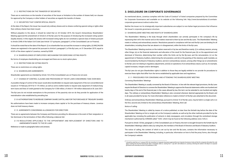### 2.1.2 RESTRICTIONS ON THE TRANSFER OF SECURITIES

There are no restrictions on the transfer of securities of the Issuer or limitation to the number of shares held, nor clauses for approval by the Company or other holders of securities as regards the transfer of shares.

### 2.1.3 SECURITIES THAT CONFER SPECIAL RIGHTS

At the date of the Report, the Issuer has issued only ordinary shares and no shares conferring special voting or rights other than ordinary shares have been issued.

Without prejudice to the above, it should be noted that on 24 October 2019, the Issuer's Extraordinary Shareholders' Meeting approved the amendment of Article 6 of the By-Laws for the purpose of introducing the increased voting system (loyalty shares). In this regard, the shares with increased voting rights do not constitute a special class of shares pursuant to Article 2348 of the Italian Civil Code (see Article 127-*quinquies*, paragraph 5, of the Consolidated Law on Finance).

It should be noted that at the date of the Report: (i) no shareholder has accrued the increase in voting rights, (ii) 848,246,906 shares are registered in the special list pursuant to Article 6, paragraph 3, of the By-Laws, on 31 December 2019, equal to 63.8% of the share capital of Juventus, owned by EXOR.

2.1.4 SHAREHOLDINGS OF EMPLOYEES: MECHANISM FOR EXERCISING VOTING RIGHTS

No forms of employee shareholding are envisaged and there are no stock option plans.

2.1.5 RESTRICTIONS ON VOTING RIGHTS

There are no restrictions on voting rights.

2.1.6 SHAREHOLDER AGREEMENTS

As mentioned above, Juventus complies with the Code of Conduct<sup>2</sup> of listed companies prepared by the Committee for Corporate Governance and available on its website at the following link: http://www.borsaitaliana.it/comitatocorporate-governance/codice/codice.htm.

Shareholder agreements as intended by Article 122 of the Consolidated Law on Finance do not exist.

2.1.7 CHANGE OF CONTROL CLAUSES AND PROVISIONS OF THE BY-LAWS CONCERNING TAKE OVER BIDS

A possible change of control of the issuer would allow bondholders to request early repayment of the non-convertible bond issued on 19 February 2019 for € 175 million, as well as some creditor banks to request early repayment of medium/longterm loans and lines of credit granted to the Company for € 358 million, of which € 159 million disbursed at 30 June 2021.

The By-Laws do not include exemptions to the provisions of the passivity rule nor do they provide for application of the neutralisation rules established by prevailing law.

2.1.8 AUTHORISATIONS TO INCREASE COMPANY SHARE CAPITAL AND FOR THE PURCHASE OF TREASURY SHARES

No authorisations have been made to increase company share capital or for the purchase of treasury shares. Juventus does not hold treasury shares.

2.1.9 AGREEMENTS CONCERNING ALLOWANCES FOR DIRECTORS

There are no agreements between the Company and Directors providing for allowances in the event of their resignation or fair dismissal or the termination of their office following a takeover bid.

2.1.10 REGULATIONS APPLICABLE TO THE APPOINTMENT AND REPLACEMENT OF DIRECTORS AND TO AMENDMENTS MADE TO THE BY-LAWS

Reference is made to paragraphs below and annexes.

### **3. DISCLOSURE ON CORPORATE GOVERNANCE**

Neither the Issuer nor its strategically important subsidiaries are subject to non-Italian legal provisions that influence the Issuer's corporate *governance* structure.

3.1 SHAREHOLDERS' MEETING AND RIGHTS OF SHAREHOLDERS

The Shareholders' Meeting is the body through which shareholders can actively participate in the company's life by expressing their will in the manner and on the matters reserved to them by law and the By-Laws. The Shareholders' Meeting meets in ordinary and extraordinary session. Resolutions passed in compliance with law and the By-Laws are binding for all shareholders, including those that are absent or in disagreement, within the limits of the By-Laws.

The Shareholders' Meeting resolves on the matters reserved to it by law and therefore mainly: (i) in ordinary session, among other things, (a) on the financial statements and allocation of the result for the financial year, (b) on the appointment and dismissal of Directors, determining their number within the limits set by the By-Laws and the remuneration, (c) on the appointment of Statutory Auditors, determining the remuneration, and (d) on the granting of the statutory audit mandate, as recommended by the Board of Statutory Auditors; and (ii) in extraordinary session, among other things (a) on amendments to the By-Laws not relating to regulatory adjustments, and (b) on operations of an extraordinary nature, such as, for example, capital increases, mergers and/or demergers.

The By-Laws do not give Shareholders rights in addition to those they are legally entitled to nor provide for procedures to exercise these rights that differ from the terms established by applicable laws and regulations.

3.1.1 PROCEDURES FOR CONVENING AND ATTENDING THE SHAREHOLDERS' MEETING *Convening Shareholders' Meetings* 

The Shareholders' Meeting is usually convened by the Board of Directors. In line with the relevant legal provisions, the By-Laws require the Board of Directors to convene the Shareholders' Meeting to approve the financial statements within one hundred and twenty days of the end of the financial year; in the cases allowed by law, this term can be extended to one hundred and eighty days. The ordinary or extraordinary Shareholders' Meeting is also convened whenever deemed appropriate by the Board, and in all cases provided for by law. For more information reference is made to Article 9 of the By-Laws attached to this document.

Ordinary and extraordinary Shareholders' Meetings, pursuant to Article 10 of the By-Laws, may be held in a single call or on the first, second and, limited to the extraordinary Shareholders' Meeting, third call. *Notice of calling*

The Shareholders' Meeting is called by means of a notice published, no later than the thirtieth day before the date of the Shareholders' Meeting on first or single call, on the Company's website, as well as by the other methods provided for by the applicable law, including the publication of extracts in daily newspapers, and circulation through the centralised storage mechanism authorised by CONSOB called "1Info", which may be found at the following address www.1info.it.

Pursuant to Article 125-bis, paragraph 2, of the Consolidated Law on Finance, this term is brought forward to the fortieth day for Shareholders' Meetings called to elect, by voting lists, the members of the Board of Directors and Board of Statutory Auditors.

The notice of calling, the content of which is set out by law and the By-Laws, contains the information necessary to participate in the Shareholders' Meeting, including, in particular, information on how to find the proxy forms, also through the Company's website.

<sup>&</sup>lt;sup>2</sup> It should be noted that on 31 January 2020, the Committee for Corporate Governance approved the new Corporate Governance Code and that the companies that adopt this code apply it starting from the first financial year after 31 December 2020 (i.e. starting from 1 July 2021 with reference to Juventus), informing the market in the Report on corporate *governance and ownership structure to be published in 2022.*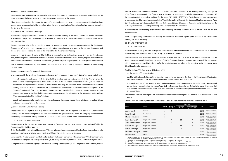### *Reports on the items on the agenda*

By the same means and within the same term for publication of the notice of calling, unless otherwise provided for by law, the Board of Directors shall make available to the public a report on the items on the agenda.

When items are placed on the agenda for which different deadlines for convening the Shareholders' Meeting have been set, the explanatory reports shall be published within the term for publication of the notice of calling provided for each of the items on the agenda.

### *Attendance at the Shareholders' Meetings*

Holders of voting rights shall be entitled to attend the Shareholders' Meeting. In the event of conflicts of interest, as defined in Article 8 of the By-Laws, the attendee at the Shareholders' Meeting is required to declare such a situation under his/her own responsibility.

The Company may also enforce the right to appoint a representative of the Shareholders (hereinafter the "Designated Representative") to whom they may grant a proxy, with voting instructions, on all or a part of the items on the agenda, until the end of the second trading day prior to the date set for the Shareholders' Meeting.

Moreover, in order to make it easier for Shareholders to exercise their rights, the simple proxy form and the form to grant proxy to the Designated Representative are made available in the dedicated section of the website, together with the relevant documentation and information on how to notify, including electronically, the proxy and grant it to the Designated Representative.

This is without prejudice to any intervention methods permitted or imposed by legislation adopted in extraordinary circumstances.

### *Addition of items and further proposals for resolution*

In accordance with the law, those shareholders who, also jointly, represent at least one fortieth of the share capital may:

- request except for matters on which the Shareholders' Meeting resolves on the proposal of the Directors or on the basis of drafts or reports prepared by them - within ten days of the publication of the notice of calling, unless otherwise provided for by law, the addition of items to be discussed, indicating the additional items proposed in the request and sending the Board of Directors a report on the indicated items. This report is to be made available to the public, at the Company's registered office, on its website and in the other ways provided for by current regulations, together with any assessments made by the Board of Directors, at the same time as the publication of the integration notice, at least fifteen days prior to the Shareholders' Meeting;
- submit further proposals for resolutions on matters already on the agenda in accordance with the terms and conditions laid down for adding items to the agenda.

### *Questions before the Shareholders' Meeting*

Those who have the right to vote may ask questions on the items on the agenda even before the Shareholders' Meeting. The notice of calling states the term within which the questions must reach the Company. Only questions received by that date and strictly relevant to the items on the agenda will be taken into consideration.

### 3.1.2 SHAREHOLDERS' MEETING

The provisions of the By-Laws regulating how shareholders' meetings are held have been approved and modified by the Extraordinary Shareholders' Meeting.

On 26 October 2004 the Ordinary Shareholders' Meeting adopted also a Shareholders' Meeting Code, for meetings to take place in an orderly and functional way, which is available on the website www.juventus.com.

Members of the Board of Directors and the Board of Statutory Auditors are represented at the Shareholders' Meetings. In particular, Shareholders' Meetings are attended by Directors who, due to their positions held, can make a useful contribution to proceedings.

During the 2020/2021 financial year, a Shareholders' Meeting was held, through the Designated Representative, without

physical participation by the shareholders, on 15 October 2020, which resolved, in the ordinary session: (i) the approval of the financial statements for the financial year at 30 June 2020, (ii) the approval of the Remuneration Report and (iii) the appointment of independent auditors for the years 2021/2022 - 2023/2024. The following persons were present or connected: the Chairman Andrea Agnelli, the Vice Chairman Pavel Nedved, the directors Maurizio Arrivabene, Paolo Garimberti (Independent Director), Caitlin Hughes (Independent Director), Francesco Roncaglio and Enrico Vellano, and the Statutory Auditors Paolo Piccatti (Chairman), Silvia Lirici and Nicoletta Paracchini.

In relation to the Chairmanship of the Shareholders' Meeting, reference should be made to Article 12 of the By-Laws attached hereto.

Resolutions passed by the Shareholders' Meeting are established by minutes signed by the Chairman of the Shareholders' Meeting and by the Secretary.

### 3.2 BOARD OF DIRECTORS

3.2.1 COMPOSITION

Pursuant to the Company By-Laws, management is entrusted to a Board of Directors composed of a number of members that may vary from three to fifteen, as decided by the Shareholders' Meeting.

The present Board was appointed by the Shareholders' Meeting on 25 October 2018. At the time of appointment, only the list of the majority shareholder EXOR N.V., owner of 63.8% of ordinary shares at that date, was presented. The list, together with the documents required by the By-Laws for the registration, was published on the website www.juventus.com, where it is still available for consultation.

The Shareholders' Meeting held on 25 October 2018:

- set the number of Directors to nine;
- established the term of office as three financial years, and in any case until the date of the Shareholders' Meeting that will be convened to approve the financial statements for the financial year 2020/2021;
- appointed the Board of Directors in the persons of Andrea Agnelli, Maurizio Arrivabene, Paolo Garimberti, Assia Grazioli Venier, Caitlin Hughes, Daniela Marilungo, Pavel Nedved, Francesco Roncaglio and Enrico Vellano and determined their remuneration. Of these directors, seven have been classified as non-executive by the Board of Directors, four of which are independent.

The Board of Directors' meeting held on 25 October 2018 confirmed Andrea Agnelli as Chairman and Pavel Nedved as Vice Chairman.

### Shown below is a summary of the composition of the Board of Directors and the office held by each director:

|                                  |                                   |                  |                             |                              | Committee                                 |                       |                                             |
|----------------------------------|-----------------------------------|------------------|-----------------------------|------------------------------|-------------------------------------------|-----------------------|---------------------------------------------|
| Name                             | Position                          | <b>Executive</b> | Number of<br>other offices* | <b>Control and</b><br>Risk** | <b>Remuneration and</b><br>appointments** | First<br>appointments | <b>Expiration</b>                           |
| Andrea Agnelli                   | Chairman                          | X                | 3                           |                              |                                           | 2010                  | app. of the 2020/2021<br>financ. statements |
| Pavel Nedved                     | Vice Chairman                     | X                |                             |                              |                                           | 2010                  | app. of the 2020/2021<br>financ. statements |
| Maurizio Arrivabene              | Director                          | x                |                             |                              |                                           | 2012                  | app. of the 2020/2021<br>financ. statements |
| Paolo Garimbertiª                | Independent Director <sup>b</sup> |                  |                             | M                            | P                                         | 2012                  | app. of the 2020/2021<br>financ. statements |
| Assia Grazioli Venier            | Independent Director <sup>b</sup> |                  |                             |                              | M                                         | 2012                  | app. of the 2020/2021<br>financ. statements |
| Caitlin Mary Hughes              | Independent Director <sup>b</sup> |                  |                             | M                            | M                                         | 2015                  | app. of the 2020/2021<br>financ. statements |
| Daniela Marilungo                | Independent Director <sup>b</sup> |                  |                             | P                            |                                           | 2015                  | app. of the 2020/2021<br>financ. statements |
| Francesco Roncaglio <sup>c</sup> | Director                          |                  |                             |                              |                                           | 2015                  | app. of the 2020/2021<br>financ. statements |
| Enrico Vellano                   | Director                          |                  |                             |                              |                                           | 2012                  | app. of the 2020/2021<br>financ. statements |
|                                  |                                   |                  |                             |                              |                                           |                       |                                             |

\* This column specifies the number of director positions held in other companies listed on regulated markets, including foreign markets, as well as in finance companies, banks and insurance companies of significant size.

This column indicates the position of the director on the Committee: "P": chairman; "M": member.

a) The independent director Paolo Garimberti was designated as lead independent director and chairman of the J Museum.

b) Independence requirements pursuant to Article 147-ter, paragraph 4, of the Consolidated Law on Finance. c) Director Francesco Roncaglio was identified as original employer pursuant to Article 2 of Italian Legislative Decree no. 81/2008.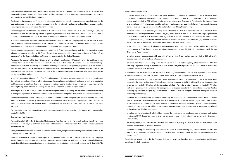The profiles of the Directors, which include information on their age, education and professional experience, are available on the website www.juventus.com. The positions held by the Directors in other listed companies or in other companies of significant size are listed in Table 1, attached.

The Board of Directors met on 27 June 2012 introduced into the Company By-Laws provisions aimed at ensuring the balanced representation of genders in the composition of the administrative and control bodies of listed companies, when renewing and replacing them during their term of office.

Since the appointment of the corporate bodies on 26 October 2012 and the last renewal on 25 October 2018, the Company has complied with the relevant regulations. In particular, in compliance with Application Criterion 2.C.3 of the Code of Conduct, one third of the members of the Board of Directors are directors of the least represented gender.

In light of the above and the diversity of the profiles of the corporate bodies, the Company does not see the need to adopt specific policies on diversity in relation to the composition of the administrative, management and control bodies with regard to aspects such as age, gender composition, education and professional career.

The independence requirements were evaluated by the Board of Directors in conformity with the criteria of independence adopted and reported elsewhere in this Report. These criteria correspond with the provisions envisaged by Article 147-*ter*, paragraph 4, of the Consolidated Law on Finance and incorporated in the Code of Conduct.

As regards the requirement for Board Directors to be of integrity, as of Article 147-*quinquies* of the Consolidated Law on Finance, the Board of Directors checks periodically the requisites all its members. If a Director does not meet or no longer meets the requirements concerning independence and integrity declared and required by regulations, or is not eligible to hold office or is incompatible for the position, the Board will declare the Director as removed from office and will replace him/her, or request the Director to remedy the cause of the incompatibility within an established time, failing which he/she will be removed from office.

In line with Application Criterion 1.C.2 of the Code of Conduct, the Directors accept their position when they can diligently devote the time required, while also taking into account the commitment related to their professional and working activities and the number of positions they hold as director or statutory auditor in other listed companies in regulated markets, including foreign ones, in financial, banking, and insurance companies or others of significant size.

Without prejudice to the above, the Board has not defined general criteria regarding the maximum number of directorship or management positions in other companies that can be considered compatible with the role as Director of the Issuer.

- concerning the sports performance of football players, up to a maximum limit of  $\epsilon$  50 million with single signature and up to a maximum limit of € 75 million with joint signature with the Vice Chairman or Fabio Paratici (for each purchase or disposal operation); this amount must be understood as including any additional charges (e.g.: commissions and services invoiced by agents and consultants) and any taxes payable by the company;
- purchase and dispose of contracts, including those referred to in Article 5 of Italian Law no. 91 of 23 March 1981, concerning the sports performance of football players, up to a maximum limit of  $\epsilon$  50 million with single signature and up to a maximum limit of € 75 million with joint signature with the Vice Chairman or Fabio Paratici (for each purchase or disposal operation); this amount must be understood as including any additional charges (e.g.: commissions and services invoiced by agents and consultants) and any taxes payable by the company;
- enter into contracts to establish relationships regarding the sports performance of coaches and technical staff up to a maximum of € 100 thousand a year with single signature and beyond this limit with joint signature with the Vice Chairman or Fabio Paratici;
- enter into property lease contracts with a duration of no more than 9 years up to a maximum limit of € 20 million (for each contract with reference to its entire duration);
- enter into marketing and sponsorship contracts with a duration of no more than 5 years, up to a maximum of € 20 million with single signature and up to a maximum of € 50 million with joint signature with the Vice Chairman or the Chief Revenue Officer (for each contract).

The Board of Directors' met on 17 September 2021 examined the positions occupied by its members in other companies and holds that the number and type of the positions occupied - also taking account of the participation in committees set up within the Board - does not interfere and is compatible with the effective performance of the mandate of Director of Juventus.

For more information on the appointment and replacement procedures, please refer to the Company By-Laws attached hereto (Article 13).

### *Chairman and Vice Chairman*

Pursuant to Article 21 of the By-Laws, the Chairman and Vice Chairman, in the framework and exercise of the powers conferred on them, may sign on behalf of and represent the Company for the implementation of the Board resolutions and before the courts.

The system of the attribution of powers at Juventus defines clearly the powers attributed by the Board of Directors to the Chairman and the Vice Chairman.

The Company deems it proper to confer specific management powers on the Chairman to safeguard the Company's interests, transparency and joint responsibility. In particular, at its meeting held on 25 October 2018, the Board of Directors granted the Chairman powers of ordinary and extraordinary administration, most recently updated on 12 July 2020. The main powers are listed below:

- purchase and dispose of contracts, including those referred to in Article 5 of Italian Law no. 91 of 23 March 1981,

At its meeting held on 25 October 2018, the Board of Directors granted the Vice Chairman similar powers of ordinary and extraordinary administration, most recently updated on 12 July 2020. The main powers are listed below:

- enter into contracts to establish relationships concerning the sports performance of football players, up to a maximum

- enter into marketing and sponsorship contracts with a duration of no more than 5 years, up to a maximum of  $\epsilon$  20 million

- purchase and dispose of contracts, including those referred to in Article 5 of Italian Law no. 91 of 23 March 1981, concerning the sports performance of football players, up to a maximum limit of  $\epsilon$  25 million with single signature and up to a maximum limit of € 50 million with joint signature with Fabio Paratici and within the maximum limit of € 75 million with joint signature with the Chairman (for each purchase or disposal operation); this amount must be understood as including any additional charges (e.g.: commissions and services invoiced by agents and consultants) and any taxes payable by the company;
- limit of € 25 million with single signature and up to a maximum limit of € 50 million with joint signature with Fabio Paratici and within the maximum limit of € 75 million with joint signature with the Chairman (for each contract); this amount must be understood as including any additional charges (e.g.: commissions and services invoiced by agents and consultants) and any taxes payable by the company;
- enter into contracts to establish relationships regarding the sports performance of coaches and technical staff up to a maximum of € 100 thousand a year with single signature and beyond this limit with joint signature with the Chairman or Fabio Paratici;
- enter into property lease contracts with a duration of no more than 9 years up to a maximum limit of € 20 million (for each contract with reference to its entire duration);
- with single signature and up to a maximum of € 50 million with joint signature with the Chairman or Fabio Paratici (for each contract).

The Chairman, as provided for by the Company By-Laws, convenes the Board of Directors, coordinating activities and assisting with relative meetings.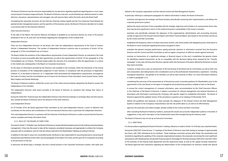The Board of Directors has the exclusive responsibility for any decisions regarding significant legal disputes or court cases concerning the Company image and brand. The Board of Directors may also, as permitted by law, attribute powers to other directors, executives, representatives and managers who will exercise them within the limits set by the Board itself.

Considering the ownership structure, the fact that the Chairman Andrea Agnelli and the Vice Chairman Pavel Nedved are granted similar management powers, and the specifics of the business sector, the Board of Directors decided not to adopt a succession plan for the executive directors.

### *Other Executive Directors*

At the date of the Report, the Director Maurizio Arrivabene is qualified as an executive director, by virtue of the powers attributed to him on 30 June 2021 by the Board regarding the management of the Football Area.

### *Independent Directors*

There are four Independent Directors on the Board, who meet the independence requirements of the Code of Conduct (Article 3 Independent Directors). The number of Independent Directors conforms also to provisions of Article 147-*ter*, paragraph 4, of the Consolidated Law on Finance.

The Board verifies the existence of the independence requirements of each Independent Director, as indicated in the Code of Conduct, as soon as possible after their appointment, as well as the requirements of Article 147-*ter*, paragraph 4, of the Consolidated Law on Finance. The Board makes public the outcome of its evaluations, after the appointment, in a notice to the market and, subsequently in the Report on Corporate Governance.

On the basis of information provided by the Directors and available to the Company, within the framework of the annual process of evaluation of the independent judgement of each Director, in compliance with the provisions of Application Criterion 3.C.4, the Board of Directors' on 11 September 2020 ascertained the independence requirements, envisaged by the Code of Conduct and the Consolidated Law on Finance for the Directors Paolo Garimberti, Assia Grazioli Venier, Caitlin Mary Hughes and Daniela Marilungo.

The Board of Statutory Auditors verified the correct use of the criteria and procedures adopted by the Board to assess the independence of its members.

The Independent Directors shall report promptly to the Board of Directors on situations that change their status of independence.

During the 2020/2021 financial year, the Independent Directors had informal meetings to exchange ideas and discussions also outside the Board of Directors and in the absence of the other Directors.

### *Lead Independent Director*

On 25 October 2018, the Board appointed Paolo Garimberti as the Lead Independent Director, a point of reference and coordinator for the actions and contributions of the non-executive Directors and, in particular, the independent directors.

The Lead Independent Director co-operates with the Chairman of the Board of Directors in order to ensure that the Directors receive complete and timely information flows.

### 3.2.2 ROLE OF THE BOARD OF DIRECTORS

Pursuant to Article 17 of the By-Laws, the Board of Directors is vested with the broadest powers for the ordinary and extraordinary management. It thus has the power to take all the measures considered necessary and appropriate to achieve the Company purposes with no exceptions, save for only the actions reserved to the Shareholders' Meeting according to the law.

In addition to the right to issue non-convertible bonds, the Board is also responsible for assuming decisions concerning all transactions permitted by Article 2365, second paragraph of the Italian Civil Code, and the spin-off of companies according to the provisions of the law.

In particular, the Board plays a strategic role and a central position in the Corporate Governance system, with tasks also

related to the Company organisation and the Internal Control and Risk Management System.

In particular, referring to subsequent paragraphs for relative information in detail, the Board of Directors:

- examines and approves the strategic and financial plans, periodically monitoring their implementation, and defines the corporate governance system;
- defines the nature and level of risk compatible with the strategic objectives and includes in its assessments those risks that may become significant in terms of the medium/long-term sustainability of the Issuer's activities;
- examines and periodically evaluates the adequacy of the organisational, administrative and accounting structure, usually on approval of the Annual Financial Report and Interim Financial Report, also based on the activities carried out by the Control and Risk Committee;
- establishes the frequency, which is at least every three months, with which bodies with delegated powers shall report to the Board on work conducted regarding the powers assigned to them;
- evaluates the general company performance, paying particular attention to information received from the Executive Directors and the Control and Risk Committee as well as regular comparison of effective results against forecasts;
- resolves on transactions of a significant strategic or financial impact; to this end, it establishes the general criteria for identifying material transactions as far as compatible with the decision-making times required by the "Transfer Campaign"; in any case, the Executive Directors operate within the framework of the plans defined by the Board, to which they report promptly;
- conducts, at least once a year, an assessment of the functioning of the Board and its Committees, as well as their size and composition, also taking factors into consideration such as the professional characteristics, experience - including managerial experience - and gender of its members, as well as their seniority of office. For more information reference is made to paragraph 3.2.4;
- considering the outcomes of the assessment as of the previous point, it provides guidance for Shareholders, prior to the appointment of the new Board, on the types of managerial and professional positions suitable to have on the Board;
- to ensure the correct management of company information, upon recommendation by the Chief Executive Officers or the Chairman of the Board of Directors, it adopts a procedure for internal management and external disclosure of documents and information concerning the Company, with specific regard to confidential information. The Board of Directors approved the updated version of the procedure in question at its meeting of 8 November 2019;
- defines the guidelines and assesses, at least annually, the adequacy of the Internal Control and Risk Management System in relation to the Company's characteristics and the risk profile taken on, as well as its effectiveness;
- approves the audit plan and relative budget, already notified to the Control and Risk Committee;
- after consulting the Board of Statutory Auditors, assesses the results set out by the independent auditors in the letter of suggestions, if any, and in the report on the fundamental issues that emerged during the statutory audit.

The Board of Directors has not set up an Executive Committee.

3.2.3 MEETINGS

For the procedures regarding the Board of Directors' meeting, reference is made to Article 15 of the By-Laws, attached hereto.

During the 2020/2021 financial year, 11 meetings of the Board of Directors were held, lasting an average of approximately two hours, with 100% attendance by its members. These meetings concerned, among other things, the examination and resolutions regarding the updating of the corporate organisational analysis, the proposals concerning the most significant transactions with related parties, the periodic financial reports, the budget for the financial years 2020/2021 and 2021/2022, to the activities of the Internal Audit department and the Supervisory Body, as well as the capital increase transaction. The Board approved also resolutions regarding the determination of the compensation for Directors vested with special

- 
- 

- 
- 
-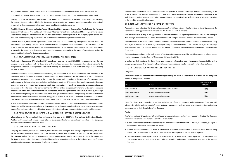### assignments, with the opinion of the Board of Statutory Auditors and the Managers with strategic responsibilities.

During the financial year that began on 1 July 2021, two meetings of the Board of Directors have already been held.

The majority of the members of the Board need to be present for its resolutions to be valid. The documentation regarding the issues on the agenda is provided to the Directors in a timely matter (on average at least three days ahead of meetings) to ensure that they are adequately informed in advance of the topics to be examined.

The Chief Financial Officer, as well as the Financial Reporting Officer, Managing Director of the Football Area, the Managing Director of the Business Area and the Chief Revenue Officer permanently take part in Board Meetings, in order to provide Directors with adequate information on the business sector the Company operates in, the company dynamics and their evolution. Heads of company departments are invited to present their main projects and activities.

Material economic, financial and equity transactions - including the approval of any strategic and financial plans - are reviewed and approved by the Board, which monitors their actual implementation. In the event of such transactions, the Board is provided with an overview of them, reasonably in advance, and where compatible with operations, highlighting in particular the economic and strategic objectives, the economic sustainability, the forms of execution as well as the consequent implications for Company operations.

3.2.4 SELF-ASSESSMENT OF THE BOARD OF DIRECTORS AND COMMITTEES

The Board of Directors on 17 September 2021 completed - also for the year 2020/2021 - an assessment on the size, composition and functioning of the Board and its Committees, approving their adequacy also with reference to the component represented by Independent Directors after taking into consideration their profile and diligence shown during the term of office.

The questions asked in the questionnaire related to (i) the composition of the Board of Directors, with reference to the knowledge and professional experience of the Directors; (ii) the management of the meetings in terms of duration, participation, preparation, examination of the items on the agenda and the conduct of discussions; (iii) the completeness and adequacy of the information received before and during the meetings; (iv) the supervision and involvement in decisions concerning long-term strategy, top management activities, examination of the risk management and assessment system, knowledge of the reference sector as well as the market trend and its competitive framework; (v) the composition and effectiveness of the Board's internal committees; (vi) the adequacy of the organisational structure, sustainability, knowledge of the reference regulatory and associative framework. This questionnaire was then completed by the individual Directors and the results from analysis were presented, in aggregate format, to the Board of Directors by the Lead Independent Director and the Chairman of the Remuneration and Appointments Committee, for the purposes of self-assessment.

An examination of the questionnaire results show the substantial satisfaction of the Board regarding its composition and functioning and the Committees in relation to the management and organisational needs, also confirming the heterogeneous nature of the professionalism of the Directors who contribute their skills and experience to the decision-making process.

### 3.2.5 REMUNERATION OF DIRECTORS AND MANAGERS WITH STRATEGIC RESPONSIBILITIES

Information on the Remuneration Policy and remuneration paid in the 2020/2021 financial year to Directors, Statutory Auditors and Managers with strategic responsibilities is provided in the Remuneration Report published on the Company's website, to which reference should be made.

### 3.2.6 COMPOSITION OF THE BOARD OF DIRECTORS

Company departments, through the Chairman, Vice Chairman and Managers with strategic responsibilities, ensure that the members of the Board receive information on the chief legislative and regulatory changes regarding the Company and the corporate bodies. Furthermore, managers of company departments may be asked to participate in the meetings of the Board of Directors, in order to ensure that the Directors have adequate knowledge of the business sector the Company operates in, the company dynamics and development thereof.

The Company uses the web portal dedicated to the management of notices of meetings and documents relating to the Board to provide Directors and Statutory Auditors with useful information to provide them with detailed knowledge of the activities, organisation, sector and regulatory framework Juventus operates in, as well as the role to be played in relation to the specific nature of the Company.

3.3 INTERNAL COMMITTEES OF THE BOARD OF DIRECTORS

As mentioned above, the Board of Directors features two Committees, with the role of providing advice and proposals: the Remuneration and Appointments Committee and the Control and Risk Committee.

To examine matters relating to the appointment of Directors and to issues regarding remuneration, also for the Managers with strategic responsibilities, the Board decided to establish a single Committee as these issues are closely related.

The Control and Risk Committee has also been identified as the Committee for Transactions with Related Parties. Solely with regard to transactions of lesser significance pertaining to the remuneration of Directors and Managers with strategic responsibilities, the Committee for Transactions with Related Parties is equivalent to the Remuneration and Appointments Committee.

The operating procedures, tasks and powers of the Committees are governed by specific regulations, whose current version was approved by the Board of Directors on 22 November 2018.

In performing their functions, the Committees may access any information, which they require, also assisted by relative company departments. They have also adequate financial resources and may be assisted by external consultants.

3.3.1 REMUNERATION AND APPOINTMENTS COMMITTEE

### *Composition*

The Remuneration and Appointments Committee appointed by the Board of Directors on 25 October 2018 is composed entirely of Independent Directors.

Paolo Garimberti was assessed as a member and chairman of the Remuneration and Appointments Committee with adequate knowledge and experience in financial matters or remuneration policies, based on significant previous professional experience and in-depth knowledge of the Company.

### *Position*

The Remuneration and Appointments Committee performs primarily advisory functions in support of the Board of Directors. The Remuneration and Appointments Committee is required to:

1. submit recommendations to the Board on the size and composition of the Board, as well as, if necessary, the types of

2. submits recommendations to the Board of Directors for candidates for the position of Director in cases provided for by

- professionals considered suitable for the Board;
- Article 2386, paragraph one, of the Italian Civil Code, when an Independent Director shall be replaced;
- Directors and Managers with strategic responsibilities as well as make relevant amendment proposals to the Board of Directors;

3. periodically assess the adequacy, overall consistency and actual implementation of the policy for the remuneration of

| <b>Members</b>        | Position                                 | Attendance percentage<br>2020/2021 |
|-----------------------|------------------------------------------|------------------------------------|
| Paolo Garimberti      | Non-executive and independent - Chairman | 100%                               |
| Assia Grazioli Venier | Non-executive and independent            | 100%                               |
| Caitlin Mary Hughes   | Non-executive and independent            | 100%                               |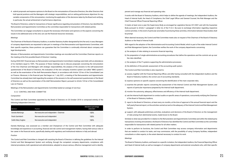4. submit proposals and express opinions to the Board on the remuneration of Executive Directors, the other Directors that hold special positions and the Managers with strategic responsibilities, and on setting performance objectives for any variable components of this remuneration, monitoring the application of the decisions taken by the Board and verifying, in particular, the actual achievement of performance objectives.

The Board of Directors, solely for transactions of lesser significance regarding remuneration of Directors, has identified the Remuneration and Appointments Committee as the committee responsible for transactions with related parties.

The Committee can engage consultants to acquire the necessary information and opinions on the aspects concerning the issues to be addressed and, to this end, can use the financial resources necessary.

### *Meetings*

The Chairman of the Board of Statutory Auditors, or another Statutory Auditor designated by him/her and, in case, Managers of company departments are requested to take part in meetings of the Remuneration and Appointments Committee; with their specific expertise, these positions can guarantee that the Committee is continually informed about company and legal developments.

Minutes of Remuneration and Appointments Committee meetings are recorded and the Committee Chairman reports on the meeting at the first possible Board of Directors' meeting.

During 2020/2021 financial year, six Remuneration and Appointments Committee's meetings were held, with an attendance of its members equal to 100%. The purpose of these meetings was to discuss proposals concerning the remuneration of the Vice Chairman and Managers with strategic responsibilities, the analysis of the answers to the self-assessment questionnaire of the Board of Directors, the evaluation of the new company incentive system (so-called "MBO system") as well as the examination of the draft Remuneration Report, in accordance with Article 123-ter of the Consolidated Law on Finance. Moreover, in the financial year that began on 1 July 2021, a meeting of the Remuneration and Appointments Committee has already been held regarding the analysis of the answers to the self-assessment questionnaire of the Board of Directors as well as the examination of the draft Remuneration Report, pursuant to Article 123-ter of the Consolidated Law on Finance.

Meetings of the Remuneration and Appointments Committee lasted an average of one hour.

3.3.2 CONTROL AND RISK COMMITTEE

*Composition*

The Control and Risk Committee appointed by the Board of Directors on 25 October 2018 is composed entirely of the following Independent Directors:

Daniela Marilungo, was assessed as a member and Chairperson of the Control and Risk Committee with adequate knowledge and experience in accounting, financial and risk control and management matters, having held various roles in her career in the financial sector, specifically dealing with regulatory and institutional relations in Italy and abroad.

### *Position*

The Control and Risk Committee is charged with assisting the Board of Directors in defining the guidelines for the Internal Control and Risk Management System and verifying, through the competent company departments, compliance with internal procedures, both operational and administrative, adopted to ensure serious, effective management and to identify,

### prevent and manage any financial and operating risks.

It works with the Board of Statutory Auditors, which helps to define the agenda of meetings, the Independent Auditors, the Head of Internal Audit, the Head of Compliance, the Chief Legal Officer and General Counsel, the Risk Manager and the Chief Financial Officer/Financial Reporting Officer.

It meets at least once a year the Supervisory Body as envisaged by Legislative Decree 231/2001 and with the Guarantee Body pursuant to Article 7, paragraph 5, letter d), of the F.I.G.C. By-Laws to exchange information regarding respective control activities. In the event of particular anomalies found during these activities, information between these bodies shall be prompt.

When deemed necessary, the Control and Risk Committee meets also on request of the Chairman of the Board of Statutory Auditors or the Head of Internal Audit.

With regard to the adoption of the Administrative and Accounting Control Model, which is part of the wider Internal Control and Risk Management System, the Committee verifies the work of the company departments concerning:

b) the preparation of single administrative-accounting procedures that define the operations and the controls set up over

- a) the analysis of risks relating to economic-financial reporting;
- the risks identified;
- c) the analysis of the IT systems supporting the administrative processes;
- d) the definition of the periodic assessment of the accounting audit system.

The Control and Risk Committee is also required to:

- a) assess, together with the Financial Reporting Officer, and after having consulted with the Independent Auditors and the Board of Statutory Auditors, the correct use of accounting standards;
- b) express opinions on specific aspects concerning the identification of the main corporate risks;
- c) examine the periodic reports concerning the assessment of the Internal Control and Risk Management System, and reports of particular importance prepared by the Internal Audit department;
- d) monitor the autonomy, adequacy, effectiveness and efficiency of the Internal Audit department;
- e) ask the Internal Audit department to conduct audits on specific areas of operations, concurrently notifying the Chairman of the Board of Statutory Auditors;
- f) report to the Board of Directors, at least every six months, at the time of approval of the annual financial report and the half-yearly financial report, on the activities carried out and on the adequacy of the Internal Control and Risk Management System;
- g) support, with adequate preliminary activities, evaluations and decisions of the Board of Directors on the management of risks arising from detrimental events, made known to the Board.

Similarly to what was provided for in relation to the Remuneration and Appointments Committee and within the related-party transactions involving remuneration, the Board of Directors has identified the Control and Risk Committee as the committee responsible for transactions with related parties for all other matters.

In order to perform its functions, the Control and Risk Committee may access company information and departments that are needed to conduct its tasks, and may commission, with the possibility of using Company facilities, independent consultants or other experts, to the extent deemed necessary to conduct its work.

### *Meetings*

The Board of Statutory Auditors, and based on a specific invitation, the Independent Auditors, the Financial Reporting Officer and Head of Internal Audit, as well as managers of company departments and external consultants who, with their specific

| Members             | Position                                 | Attendance percentage<br>2020/2021 |
|---------------------|------------------------------------------|------------------------------------|
| Daniela Marilungo   | Non-executive and independent - Chairman | 100%                               |
| Paolo Garimberti    | Non-executive and independent            | 100%                               |
| Caitlin Mary Hughes | Non-executive and independent            | 100%                               |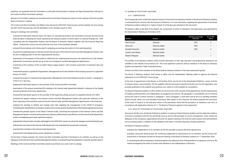expertise, can guarantee that the Committee is continually informed about company and legal developments, take part in the Control and Risk Committee meetings.

Minutes of Committee meetings are recorded and the Committee Chairperson reports on the meeting at the first possible Board of Directors' meeting.

The Control and Risk Committee met fifteen times during the 2020/2021 financial year and has already met once during the 2021/2022 financial year, with the attendance of its members equal to 100%.

During its meetings, the Committee:

- reviewed the half-yearly financial report, the report on corporate governance and ownership structures and the annual financial report, evaluating the results reported by the statutory auditor in his/her report on material findings, and - after consulting with the Independent Auditors and the Board of Statutory Auditors together with the Financial Reporting Officer - reviewed the correct use and uniformity over time of the standards adopted;
- reviewed the procedures and criteria used for preparing accounting documents for the reporting period;
- reviewed the updating project of the documents that are part of the Internal Control and Risk Management System with the aim of adapting them to the new organisational structure;
- examination of the progress of the project to define the new organisational structure, with special focus on the streams dedicated to Governance and the set-up of the new Compliance and Risk Management departments;
- monitoring of the evolution of the so-called "Super League project", with constant examination of potential risks and impacts;
- reviewed the project to update the Organisation, Management and Control Model of the Company pursuant to Legislative Decree 231/2001;
- reviewed the project to implement the Organisation, Management and Control Model pursuant to Article 7, paragraph 5, of the F.I.G.C. By-Laws;
- prepared the half-yearly reports on the activities of the Control and Risk Committee;
- examination of the annual monitoring KPIs relating to the Internal Audit department defined in reference to the Quality Assurance Review of the same department;
- reviewed the half-yearly reports on the activities of the Supervisory Body, pursuant to Legislative Decree 231/2001;
- reviewed the aspects relating to the Internal Control and Risk Management System with particular reference to the direct reporting of the activities carried out by the Internal Audit and Risk Management departments to the Chairman;
- analysed the activities to identify and manage main risks regarding the management of the COVID-19 emergency, considering the characteristics of activities carried out by Juventus and the developments of the relevant regulatory provisions;
- reviewed the periodic reports of the Head of Internal Audit, concerning the evaluation of the Internal Control and Risk Management System, monitoring the autonomy, adequacy, effectiveness and efficiency of the Internal Audit department, further investigating particularly significant aspects;
- evaluated the Internal Audit work plan and budget for the 2020/2021 season as well as the changes occurred during the year;
- selected the new head of the Internal Audit department and evaluated the remuneration proposal;
- examined the mandate of the Internal Audit department;
- reviewed the Child Safeguarding system adopted by Juventus.

On the basis of these activities, the Control and Risk Committee reported to the Board on its activities, as well as on the adequacy of the Internal Control and Risk Management System, including through the preparation of specific periodic reports.

Meetings of the Control and Risk Committee lasted around three hours and a half on average.

### 3.4 BOARD OF STATUTORY AUDITORS

### 3.4.1 COMPOSITION

The Company By-Laws contain the required clauses to ensure that one statutory member of the Board of Statutory Auditors is nominated by the minority with the function of Chairman. For more information regarding the appointment of the Board of Statutory Auditors reference is made to Article 22 of the By-Laws attached to this document.

The Board in office at the date of this Report, the composition of which is indicated in the table below, was appointed by the Shareholders' Meeting on 25 October 2018.

The profiles of the Statutory Auditors, which include information on their age, education and professional experience, are available on the website www.juventus.com. The most significant positions held by members of the Board of Statutory Auditors are reported in Table 3 attached hereto.

At least one third of the members of the Board shall be Statutory Auditors of the least represented gender.

The Board of Statutory Auditors shall remain in office until the Shareholders' Meeting called to approve the financial statements for the 2020/2021 financial year.

At the time of appointment of the Board, on 25 October 2018, only the list of the Shareholder EXOR N.V., owner of 63.8% of ordinary shares, was presented. The list, together with the documents required by the By-Laws for the registration, was promptly published on the website www.juventus.com, where it is still available for consultation.

The Board of Statutory Auditors in office verified, for the first time at the moment of the appointment, that the requirements of integrity, professionalism and independence envisaged by law (Article 148, paragraph 3, Consolidated Law on Finance) and by the Code of Conduct (Articles 3, paragraph 1, and 8, paragraph 1) have been met by all of its standing members (Paolo Piccatti, Silvia Lirici and Nicoletta Paracchini). With regard to the Chairman, the Board assessed the provisions of the Code of Conduct on the indicative nature of the parameters listed and the prevalence of substance over form, in accordance with Application Criterion 3.C.1. The Board of Directors agreed on the assessment.

3.4.2 ROLE OF THE BOARD OF STATUTORY AUDITORS

Pursuant to the By-Laws, the Board of Statutory Auditors is made up of three Statutory Auditors and two Alternate Auditors; it monitors compliance with the law and the By-Laws as well as with principles of correct management. It also verifies the adequacy of the Company's organisational structure for aspects relating to the internal control system and administrative and accounting system, in addition to the reliability of the latter in correctly reporting company operations.

The Board of Statutory Auditors:

- evaluates, during the financial year, the continuing independence requirements for its members and the annual self-

- evaluates the independence of its members at the first possible occasion after their appointment
- assessment of the Board carried out during the meeting of the Board of Statutory Auditors on 11 September 2020;
- in conducting the above evaluations, the Board applies, also taking account of the prevalence of substance over form, the criteria envisaged by the Code of Conduct with reference to the independence of Directors.

| <b>Members</b>       | <b>Position</b>          | Attendance percentage<br>2020/2021 | No. of other<br>offices  |
|----------------------|--------------------------|------------------------------------|--------------------------|
| Paolo Piccatti       | Chairman                 | 100%                               | 5                        |
| Silvia Lirici        | <b>Statutory Auditor</b> | 100%                               |                          |
| Nicoletta Paracchini | <b>Statutory Auditor</b> | 100%                               | 4                        |
| Lorenzo Jona Celesia | Alternate Auditor        | $\overline{\phantom{a}}$           | $\overline{\phantom{0}}$ |
| Roberto Petrignani   | Alternate Auditor        | $\overline{\phantom{a}}$           |                          |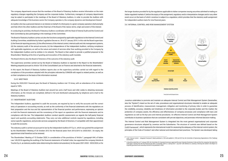The company departments ensure that the members of the Board of Statutory Auditors receive information on the main regulatory changes regarding the Company and the corporate bodies. Furthermore, managers of company departments may be asked to participate in the meetings of the Board of Statutory Auditors, in order to provide the Auditors with adequate knowledge of the business sector the Company operates in, the company dynamics and development thereof.

An Auditor who has a personal interest or an interest on behalf of a third party in a given company operation shall promptly and fully inform the other Auditors and the Chairman of the Board of the nature, terms, origin and extent of this interest.

In conducting its activities, the Board of Statutory Auditors coordinates with the Head of Internal Audit and the Control and Risk Committee by also participating in the meetings of this Committee.

The Board of Statutory Auditors carries out also the functions assigned by applicable regulations to the Internal Control and Auditing Committee, established by Italian Legislative Decree no. 39 of 27 January 2010. In this role the Board supervises: (i) the financial reporting process, (ii) the effectiveness of the internal control, internal audit and risk management systems, (iii) the statutory audit of the annual accounts, (iv) the independence of the Independent Auditors, verifying compliance with applicable regulations, as well as the nature and extent of services other than auditing provided to the Company by the Independent Auditors and by entities in its network. The Board is then asked to provide a justified proposal to the Shareholders' Meeting at the time of granting and revocation of the statutory audit mandate.

The Board informs also the Board of Directors of the outcome of the statutory audit.

The supervisory activities carried out by the Board of Statutory Auditors is reported in the Report to the Shareholders' Meeting prepared pursuant to Article 153 of the Consolidated Law on Finance and attached to the financial statements.

In this report, the Board of Statutory Auditors reports also on the supervisory activities carried out with regard to the compliance of the procedures adopted with the principles indicated by CONSOB with regard to related parties, as well as on their compliance on the basis of the information received.

### 3.4.3 MEETINGS

During the 2020/2021 financial year, the Board of Statutory Auditors met 19 times, with an attendance of its members equal to 100%.

Meetings of the Board of Statutory Auditors last around two and a half hours and refer solely to obtaining necessary information, as the minutes are completed, defined in full and distributed subsequently, by telephone and e-mail to the Statutory Auditors.

> The Internal Control and Risk Management System is integrated into the more general organisational and corporate governance structures adopted by Juventus and the Subsidiaries. The structure of controls was defined based on the CoSO Framework<sup>3</sup>, which represents the international model for assessing the adequacy of the internal control system, the principles of the Code of Conduct<sup>4</sup> and other national and international best practices. The System was developed taking

### 3.5 INDEPENDENT AUDITORS

The Independent Auditors, appointed to audit the accounts, are required by law to verify the accounts and the correct entry of operations in accounting records, as well as the conformity of the financial statements with the regulations on their preparation and the true and fair representation of the financial position and performance, expressing an opinion on both the financial statements and the consistency of the report on operations with the financial statements and its compliance with the law. The Independent Auditors conduct specific assessments as regards the half-yearly financial report and quarterly accounting statements. They carry out also additional controls required by regulations, including sector-specific regulations, and provide services assigned by the Board of Directors, if compatible with their appointment to audit the accounts.

The statutory audit is carried out pursuant to law by the Independent Auditors EY S.p.A., which was granted the assignment by the Shareholders' Meeting of 26 October 2012 for the financial years from 2012/2013 to 2020/2021. On expiry, the appointment shall therefore not be renewed.

The Shareholders' Meeting of 15 October 2020, in consideration of the provisions of Article 1, paragraph 644, of Italian Law 145/2018 regarding the auditing of the financial statements of football clubs, has appointed the company Deloitte & Touche S.p.A. as statutory auditor (also determining the relative remuneration), for the years 2021/2022 - 2023/2024, or for

the longer duration provided for by the regulations applicable to Italian companies issuing securities admitted to trading on Italian regulated markets if, before the expiry of the assignment, regulatory and/or interpretative changes and/or any other event occur on the basis of which Juventus is subject to a regulation, which provides that the statutory audit assignment for independent auditors lasts for nine financial years.

### 3.6 INTERNAL CONTROL AND RISK MANAGEMENT SYSTEM

Juventus undertakes to promote and maintain an adequate Internal Control and Risk Management System (hereinafter, also the "System") meant as the set of rules, procedures and organisational structures intended to enable an adequate process of identification, measurement, management, mitigation and monitoring of primary risks in order to guarantee the credibility, accuracy, reliability and timeliness of information provided to the corporate bodies and the market, the protection of company assets, the efficiency and effectiveness of company processes and compliance with laws and regulations as well as the By-Laws and internal procedures. An effective Internal Control and Risk Management System contributes to business operations that are consistent with pre-set objectives, and promotes informed decision-making.





*<sup>3</sup> CoSO "Internal Control – Integrated Framework" Model published in 1992 and updated in 1994 and 2013 by the Committee of Sponsoring Organizations of the Tradeway Commission.*

*<sup>4</sup> It should be noted that on 31 January 2020, the Committee for Corporate Governance approved the new Corporate Governance Code and that the companies that adopt this*  code apply it starting from the first financial year after 31 December 2020 (i.e. starting from 1 July 2021 with reference to Juventus), informing the market in the Report on *corporate governance and ownership structure to be published in 2022.*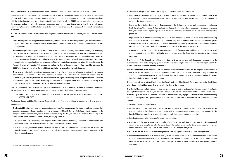into consideration applicable effective laws, reference regulations and guidelines provided by trade associations.

The responsibility for the establishment and maintenance of an effective Internal Control and Risk Management System (ICRMS), in line with the company and process objectives and the correspondence of the risk management methods with the defined containment plans, lies with the Director in charge of the ICRMS and the operations managers, i.e. the corporate bodies as well as the corporate structures, which act in a coordinated manner in order to allow the main risks relating to Juventus and the Subsidiaries to be correctly identified, as well as adequately measured, managed and monitored.

In particular, Juventus' Internal Control and Risk Management System is structured, consistently with the Three-line Model5 , into:

- **First Line**: corporate operating structures responsible, within the context of individual processes, for the achievement of corporate objectives by ensuring the correct performance of control activities in the face of persistent risks in their area of competence;
- **Second Line**: specialised departments responsible for the process of identifying, assessing, managing and monitoring risks, as well as assessing the effectiveness of first-level controls. It supports the first line in the definition and implementation of adequate risk management and control systems, evaluating any mitigation plans, and carries out reporting activities on the adequacy and effectiveness of risk management and related controls put in place. The persons responsible for the coordination and management of the main control systems operate within this level, including the Financial Reporting Officer, the Risk Manager, as well as the Head of Compliance, a new figure established during the 2020/2021 financial year, within the Legal Directorate, to further strengthen the control system;
- **Third Line**: provides independent and objective assurance on the adequacy and effective operation of the first and second lines and in general on the overall operating methods of the Internal Control System of Juventus and the Subsidiaries, in order to guarantee the achievement of the organisational objectives and promote their continuous improvement; reports to the Control Bodies any critical issues or inadequacies that undermine the safeguarding of the correct management of the Internal Control and Risk Management System.

The Internal Control and Risk Management System is verified and updated, in order to guarantee it is suitable for monitoring the main areas of risk of company operations, on an ongoing basis, as detailed in paragraphs below.

3.6.1 MAIN PLAYERS IN THE INTERNAL CONTROL AND RISK MANAGEMENT SYSTEM AND THEIR ROLES AND RESPONSIBILITIES

The Internal Control and Risk Management System involves the following positions, for aspects in their own sphere of competence:

- The **Board of Directors** examines and approves the strategies of the company and the Group it heads up, pursuing their sustainable success, defines the nature and level of risk compatible with the pre-set strategic objectives, assesses the adequacy of the organisational, administrative and accounting structure, as well as the effective functioning of the Internal Control and Risk Management System, identifying within it:
- a Control and Risk Committee, with proposal-making and advisory functions, composed of non-executive and independent Directors, that assists the Board with adequate preliminary activities;
- a Director in charge of establishing and maintaining an effective Internal Control and Risk Management System. The Board identified the Executive Chairman, Andrea Agnelli, as the Director in charge of supervising the operations of the internal control system.

characteristics of the activities carried out by the Company and the Subsidiaries and submitting them regularly for

Control and Risk Management System and verifying its overall adequacy, effectiveness and efficiency on an ongoing basis, as well as overseeing the adjustment to the trend in operating conditions and the legislative and regulatory

- request the Head of Internal Audit to carry out audits of specific operating areas and of the compliance of company operations with rules and internal procedures, in order to verify that the internal control and risk management system is adequate and consistent with respect to the guidelines defined by the Board of Directors, simultaneously informing

- The **Director in charge of the ICRMS**, assisted by competent Company Departments, shall:
- identify the main company risks (strategic, operating, financial, compliance and context risks), taking account of the review by the Board of Directors;
- implement the guidelines defined by the Board, overseeing the design, development and management of the Internal panorama;
- the Chairman of the Control and Risk Committee and Chairman of the Board of Statutory Auditors;
- promptly report to the Control and Risk Committee (or Board of Directors) on problems and critical issues, which measures.
- business sector in which the company operates, conducive to assessing the related risks as detailed in paragraph 3.3.2 to which reference should be made for more details.
- The **Head of Internal Audit**, appointed with the approval of the Board of Directors, on the proposal of the Director in charge of the ICRMS, based on the prior favourable opinion of the Control and Risk Committee, having consulted the Board of Statutory Auditors, is tasked with verifying that the Internal Control and Risk Management System of Juventus and the Subsidiaries is functioning and adequate.

arise in conducting his activities or which he becomes aware of, so the Committee (or Board) may take suitable

• The **Control and Risks Committee**, identified by the Board of Directors, owns as a whole adequate competence in the

The Company's Head of Internal Audit is, starting from 1 April 2021, Mrs. Stefania Dulio. Mrs. Alessandra Borelli, head of the Department until the same date, is currently the Head of Compliance.

The Head of Internal Audit is not responsible for any operational activity and reports i) from an organisational point of view, to the Executive Chairman, as Director in charge of the Internal Control and Risk Management System, and ii) hierarchically to the Board of Directors. The Head of Internal Audit may engage consultants to acquire the necessary information and opinions on aspects concerning issues to be addressed and, to this end, may use the financial resources needed.

In particular the Head of Internal Audit:

a) verifies, on an ongoing basis and in relation to specific needs, in compliance with international standards, the operation and suitability of the Internal Control and Risk Management System using an Audit Plan approved by the

c) prepares periodic reports containing adequate information on her activities, the methods used to conduct risk management and compliance with the plans defined for reducing such risks; the periodic reports contain an

- Board of Directors, based on a structured process of analysis and prioritisation of main risks;
- b) has direct access to information useful to carry out her duties;
- assessment of the suitability of the Internal Control and Risk Management System;
- d) also at the request of the supervisory body, prepares promptly reports on events of particular importance;
- e) sends the reports referred to in points c) and d) to the Chairmen of the Board of Statutory Auditors, of the Control said subjects;

and Risk Committee and of the Board of Directors, as well as to the Director in charge of the Internal Control and Risk Management System, except for cases in which the object of these relations concerns specifically the activities of

*<sup>5</sup> "Three Line Model" published by the Institute of Internal Auditors in July 2020.*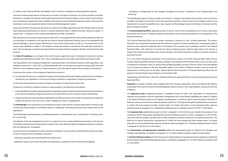f) verifies, as part of the Audit Plan, the reliability of the IT systems, including accounting registration systems.

The Head of Internal Audit reports at least every six months to the Board of Directors, the Control and Risk Committee, the Director in charge of the internal control system and the Board of Statutory Auditors on the results of audit activities, also formulating an assessment of the suitability of the Internal Control and Risk Management System, and assists the Committee to verify and assess the Internal Control and Risk Management System.

During the 2020/2021 financial year, the Director in charge of the ICRMS agreed the Audit Plan with the Head of Internal Audit regarding the performance of checks on specific operational areas or specific processes, sharing its update - in January 2021 - in relation to of the impacts generated by the COVID-19 pandemic.

With reference to the succession that took place in April 2021, it was agreed that the audit activities, already commenced or in the phase of completion on the date the new Head of Internal Audit joined Juventus, were to be completed by the previous Manager, to ensure greater effectiveness in the formal closing phase as well as in the assessment of any critical issues identified in relation to formulations, checks and analyses conducted by the audit team previously in place. The new Manager monitored and supervised the new audit activities envisaged in the Plan, starting from the date he joined.

• The **Head of Compliance** is a new figure of the control system, appointed as part of the project to review the Juventus operating and organisational model, with a view to strengthening and continually improving the governance model.

The responsibility of the Compliance Department, reporting directly to the General Counsel & Chief Legal Officer, was attributed, starting from 1 April 2021, to Alessandra Borelli, who over the years has gained increasing skills, both with reference to the compliance aspects of listed companies, and to the specific needs of the Company's core business.

In particular, the mission of the Compliance Department consists of:

- a) ensuring that the business is conducted in keeping with the highest ethical and integrity standards and in compliance with the laws and regulations in force, by promoting the definition of appropriate compliance programmes;
- b) promoting and bolstering the culture of integrity and respect for internal and external rules.

Furthermore, the Head of Compliance reports, at least annually, to the following Control Bodies

- I. Control and Risks Committee, regarding significant regulatory changes, initiatives launched in the period with reference to the specific Compliance Programmes and any non-conformities found or corrective actions implemented;
- II. Supervisory Body and Guarantee Body, regarding the activities carried out in the context of maintaining the respective models and systems in the area, also in order to highlight any need for updating them.
- The **Risk Manager**, who oversees the risk management process, works with the company departments involved in order to ensure the implementation of an effective system for identifying, monitoring and governing the relevant risks for the organisation.

The Risk Manager, reporting directly to the Managing Director of the Business Area is, starting from 15 February 2021, Mr. Lorenzo Vispi.

The objective of the risk management process is to support the main company departments and areas in the process of identifying, assessing and prioritising the Company's main risks, defining mitigation strategies and actions consistent with the organisation's risk appetite.

In particular, the risk management process, carried out cyclically on an annual basis, with half-yearly follow-up activities, for both Juventus and the Subsidiaries, is aimed at:

- identifying, classifying and evaluating the most relevant risks;
- defining the specific and overall risk profile and assessing its consistency with the corporate risk appetite;

- identifying or strengthening top risk mitigation strategies and actions, contributing to their implementation and

monitoring.

The Risk Manager reports, at least annually to the Director in charge of the Internal Control System and to the Control and Risks Committee on the results of the risk assessment activities carried out and on the mitigation actions to be implemented to reduce the identified risks. Upon request, the Risk Manager reports to the Board of Directors and the Board of Statutory Auditors.

• The **Financial Reporting Officer**, appointed pursuant to Article 154-bis of the Consolidated Law on Finance, which gives this position the function of preparing adequate administrative and accounting procedures for the preparation of the financial statements.

The Financial Reporting Officer has all powers necessary to exercise its role, including expenditure. The powers attributed can be exercised individually and with reference to specific functions assigned and, consequently, solely to perform actions required to implement them in the interest of the company and in compliance with law. The Financial Reporting Officer, with reference to exercising the above-mentioned powers, shall promptly report to the Director in charge of the Internal Control System and, at least annually, to the Board of Directors in relation to activities carried out and costs incurred.

On 12 July 2020, following the termination of the employment contract of the Chief Financial Officer Marco Re, the Company appointed Stefano Bertola, Company manager, as pro-tempore Chief Financial Officer, due to his many years of experience in the finance sector, as well as Financial Reporting Officer, pursuant to Article 154-*bis* of the Consolidated Law on Finance and based on the prior favourable opinion of the Board of Statutory Auditors, since he meets the requirements of the By-Laws for the office. Stefano Bertola held the position of Financial Reporting Officer until the approval of the Half-Yearly Financial Report at 31 December 2020.

Subsequently, with effect from 1 April 2021, the Board of Directors appointed Stefano Cerrato as the Company's *Financial Reporting Officer*.

- **Employees**, according to specific tasks assigned within the company organisation, ensure the effective and efficient functioning of the Internal Control and Risk Management System as part of their responsibilities, acting as the first line of defence.
- The **Supervisory Body**, established pursuant to Legislative Decree 231/2001, and responsible for monitoring the operation and compliance with the Organisation, Management and Control Model, highlighting any needs for updates to the Board of Directors based on the regulatory developments, is required to report at least annually to the Board of Directors on the outcomes of the monitoring activities carried out. This body has the specific professional competencies to conduct the task assigned and take constant action. For further information on the Supervisory Body, reference should be made to paragraph 3.6.6 "Organisation Model pursuant to Legislative Decree 231/2001" of this Report.
- The **Guarantee Body**, established pursuant to Article 7, paragraph 5, of the FIGC By-Laws, monitors the operation of and compliance with the Organisation, Management and Control Model pursuant to Article 7, paragraph 5, of the FIGC By-Laws, and oversees updates, and shall report at least annually to the Board of Directors on monitoring outcomes. This body has the specific professional competencies to conduct the task assigned and take constant action. For further information on the Guarantee Body, reference should be made to paragraph 3.6.7 "Prevention Model pursuant to Article 7, paragraph 5, FIGC By-Laws" of this Report.
- The **Remuneration and Appointments Committee** defines the remuneration policy for directors and managers with strategic responsibilities, as detailed in paragraph 3.3.1 to which reference should be made for further details.
- by the Internal Control and Risk Management System, as detailed in paragraph 3.4.2, to which reference should be made for more details.

• The **Board of Statutory Auditors** monitors the practical implementation of corporate governance regulations established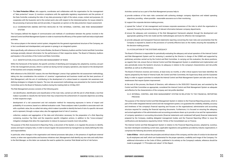- The **Data Protection Officer**, who supports, coordinates and collaborates with the organisation for the management of "data protection" issues: (i) monitors compliance with the applicable regulatory requirements and the policies of the Data Controller, evaluating the risks of any data processing in light of the nature, scope, context and purposes, (ii) cooperates with the Guarantor and is the contact point, also with respect to the interested parties, for issues related to the processing of personal data and (iii) provides, if requested, an opinion on the data protection impact assessment.
- 3.6.2 COORDINATION AMONG ENTITIES INVOLVED IN THE INTERNAL CONTROL AND RISK MANAGEMENT **SYSTEM**

The Company defined the degree of communication and methods of coordination between the parties involved in the Internal Control and Risk Management System in order to maximise the efficiency of the system itself and reduce duplicated activities.

The various players in the internal control system, integrated into the general organisational structure of the Company, are in fact coordinated and interdependent, and operate in synergy in an integrated system.

More specifically, with reference to the Control Bodies, the Board of Statutory Auditors and the Control and Risk Committee exchange promptly relevant information for the performance of their respective duties. The Board of Statutory Auditors participates in the activities of the Control and Risks Committee.

3.6.3 IDENTIFICATION, EVALUATION AND MANAGEMENT OF RISKS

Within the framework of the System, the specific activities of identifying and managing risk, adopted by Juventus, are part of the risk management process, which is carried out during normal company operations, also based on the development of the business and company strategies.

With reference to the 2020/2021 season, the new Risk Manager Lorenzo Vispi updated the risk assessment methodology, taking into due consideration the evolution of Juventus' organisational and business model and the best practices of *Risk Management*, with the aim of contributing to the development of a culture based on corporate risk awareness and defining strategies to mitigate its impacts. The new risk assessment methodology was presented to the Control and Risk Committee and to the Board of Statutory Auditors during the meeting held on 24 May 2021.

The Risk Management process consists of the following parts:

- *risk identification*, identification and classification of the main risks, carried out with the aid of a Risk Model, a tool that makes it possible to classify the risk factors that may compromise the achievement of corporate objectives according to their respective origin;
- development of a *risk assessment* and *risk evaluation* method for measuring exposures in terms of impact and probability of occurrence, based on a defined evaluation scale. These analyses make it possible to associate each risk with a synthetic value, the so-called risk rating, which makes it possible to identify the level of risk of a specific risk event and to represent, through a unique value, also the aggregate level of risk of Juventus;
- collection, analysis and aggregation of the data and information necessary for the preparation of a *Risk Reporting* containing Juventus *Top Risks* and the respective specific mitigation actions, in addition to the "cross-company" mitigation strategies that allow the organisation to reduce its exposure towards most risk profiles.

The purpose of the *Risk Assessment & Reporting Policy*, a document of the System, is to regulate the process to identify, assess and report company risks, in order to ensure regular risk assessments by management, by clearly defining the roles and responsibilities.

In particular, when changes in the organisation and internal processes take place, in the presence of significant external events, or when new opportunities and business initiatives start, Management shall identify any new risks and notify them to the *Risk Manager*, so this latter can evaluate the need to update the Juventus' Risk Model and list of risk factors.

Activities carried out as a part of the *Risk Management* process help to:

- a) provide evidence of the main risks connected with achieving strategic company objectives and related operating objectives, providing - where possible - reasonable assurance as to their monitoring;
- b) support the corporate decision-making process;
- c) spread the "culture" of risk management and increase corporate awareness of the risks to which the organisation is exposed, favouring the proactive sharing of relevant information between company departments;
- d) ensure the adequacy and consistency of the *Risk Management* framework adopted, through the development and appropriate updating of the risk model and the methodologies and tools for effective risk management;
- e) provide adequate and transparent financial statements reporting concerning the main risks and uncertainties that the Company is exposed to, based on the provisions of currently effective laws on the matter, ensuring the traceability of the decision-making process.

### 3.6.4 EVALUATION OF THE SYSTEM'S ADEQUACY

The Board of Directors is responsible for periodically evaluating the adequacy and actual operation of the Internal Control and Risk Management System and for reviewing it, assisted by the Director in charge of the ICRMS and supported by preliminary activities carried out by the Control and Risk Committee. In carrying out this evaluation, the above positions, as regards their role, ensure that an Internal Control and Risk Management System is established and implemented, and also periodically review the System's structure, its adequacy in relation to the company's characteristics and risk profile identified, as well as its effectiveness.

The Board of Directors receives and reviews, at least every six months, or after critical aspects have been identified, the reports prepared by the Head of Internal Audit, the Control and Risk Committee, the Supervisory Body and the Guarantee Body, in order to support activities to evaluate the Internal Control and Risk Management System and take action for any weaknesses that require System improvement.

At the end of this process, the Board of Directors, with reference to the 2020/2021 financial year, and assisted by the Control and Risk Committee as appropriate, considered the Internal Control and Risk Management System as adequate and effective for the characteristics of the company and risk profile identified.

### 3.6.5 INTERNAL CONTROL AND RISK MANAGEMENT SYSTEM IN RELATION TO THE FINANCIAL REPORTING PROCESS

The purpose of the Internal Control and Risk Management System in relation to the Financial Reporting process, which is part of the wider integrated internal control and risk management system, is to guarantee the credibility, reliability, accuracy and timeliness of the company's financial reporting and focuses on the organisational, administrative and accounting structure required for creating the financial reporting documents. Furthermore, it is focused on ensuring the adequacy and actual application of the administrative and accounting procedures drawn up to provide a true and fair representation of company operations in accounting documents (financial statements and condensed half-yearly financial statements) prepared by the Company, enabling delegated management bodies and the Financial Reporting Officer to issue the certifications and declarations required by Article 154-bis of the Consolidated Law on Finance.

The Internal Control and Risk Management System in relation to the Financial Reporting process, adopted by Juventus, has been developed considering current laws, applicable regulations and guidelines provided by industry organisations; it comprises the following documents and procedures:

• **Code of Ethics** - which outlines the principles and ethical values of the company, and the rules of conduct to be observed by all employees and staff, which are fundamental for the proper operation, credibility and image of the Company. For additional information on the Code of Ethics, published in its entirety on the Company's website, reference should be made to paragraph 1.3 "Principles and values" of this Report.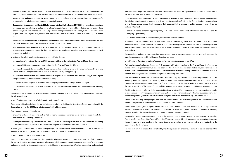- **System of powers and proxies**  which identifies the powers of corporate management and representation of the individual company managers, in line with the developments of the Company's organisational and governance model.
- **Administrative and Accounting Control Model**  a document that defines the roles, responsibilities and procedures for implementing the administrative and accounting control system.
- **Organisation, Management and Control Model pursuant to Legislative Decree 231/2001**  which defines procedures that are suitable for reducing risks of committing the offences indicated by applicable regulations, as well as the related sanctions' system; for further details on the Organisation, Management and Control Model, reference should be made to paragraph 3.6.6 "Organisation, Management and Control Model pursuant to Legislative Decree 231/2001" of this Report.
- **Administrative/accounting and management procedures**  which define the responsibilities and control rules with particular reference to significant processes and the end of reporting periods.
- **Risk Assessment and Reporting Policy**  which defines the roles, responsibilities and methodologies developed to support Risk Assessment activities; the document includes also guidelines for subsequent Risk Management and risk assessment updating.

In particular, the Administrative and Accounting Control Model defines:

- the guidelines of the Internal Control and Risk Management System in relation to the Financial Reporting process;
- the responsibilities, resources and powers assigned to the Financial Reporting Officer;
- the rules of conduct to be observed by Company personnel involved in any way in the implementation of the Internal Control and Risk Management system in relation to the Financial Reporting process;
- the roles and responsibilities attributed to company management and functions involved in preparing, distributing and verifying accounting information released to the market;
- the process of assigning internal responsibility to company directorates and departments managers;
- the certification process for the Market, overseen by the Director in charge of the ICRMS and the Financial Reporting Officer.

The existing Internal Control and Risk Management System in relation to the Financial Reporting process is structured into the following phases:

a) *Identification and assessment of administrative and accounting risks*

The process to identify risks is carried out under the responsibility of the Financial Reporting Officer, in conjunction with the Director in charge of the ICRMS and with the support of the Risk Manager.

This process is carried out in order to:

- check the updating of accounts and related company processes, identified as relevant and related controls of administrative/accounting procedures;
- identify, for each company Department, the areas, and relevant accounting information, the processes and accounting flows considered critical, as well as control activities adopted to monitor these flows and processes.

In carrying out these activities, the Financial Reporting Officer obtains further information to support the assessment of administrative/accounting risks based on results of the wider process of Risk Management.

b) *Identification of controls for identified risks*

The controls necessary to mitigate the risks identified in administrative/accounting processes were identified considering the control objectives associated with financial reporting, which comprise financial statement "assertions" (the existence and occurrence of events, completeness, rights and obligations, assessment/identification, presentation and reporting),

and other control objectives, such as compliance with authorisation limits, the separation of duties and responsibilities or the documentation and traceability of operations.

Company departments are responsible for implementing the Administrative and Accounting Control Model: they document the administrative/accounting procedures and carry out the controls defined therein. During significant organisational events, Company departments check, for areas in their responsibility, that procedures and the controls defined in them are updated in terms of:

• controls matching evidence supporting them, as regards activities carried out, information systems used and the

- company organisation;;
- the correct identification of process owners, activities and controls identified.

If sensitive areas are identified from the risk assessment that are not regulated, either wholly or in part, by Juventus administrative/accounting procedures, the HR Projects & Compliance Department, coordinating with the various departments and the Financial Reporting Officer shall supplement existing procedures or formalise new ones in relation to their areas of responsibility.

The procedures, updated or implemented as above, are approved by the managers of level one, two and three controls, based on prior agreement with the Financial Reporting Manager.

c) *Verification of the actual operation of controls and assessment of any problems identified*

Activities to assess the Internal Control and Risk Management System in relation to the Financial Reporting Process are carried out when preparing the annual financial report and the half-yearly financial report. To this end, specific monitoring is carried out to assess the adequacy and actual operation of administrative/accounting procedures and controls defined in them for monitoring the correct operation of significant accounting processes.

This assessment is carried out by Juventus main departments by reporting to the Financial Reporting Officer on the adequacy and actual application of operating activities and controls, in their area of responsibility and through periodic controls carried out by the Financial Reporting Officer with the support of the Internal Audit Department in order to assess the level of objectivity of the Internal Control and Risk Management System in relation to the Financial Reporting process.

The Financial Reporting Officer, with the support of the Head of Internal Audit, prepares a report summarising the results of assessments of controls regarding risks previously identified based on monitoring results. Previous assessments may identify compensatory controls, corrective actions or improvement plans in relation to any problems identified.

The Financial Reporting Officer, in agreement with the Chief Executive Officer in office, prepares the certifications, based on the above, pursuant to Article 154-*bis* of the Consolidated Law on Finance.

The Financial Reporting Officer reports periodically to the Control and Risk Committee and Board of Statutory Auditors as regards procedures for assessing the Internal Control and Risk Management System in relation to the Financial Reporting process, as well as the results of assessments made to support certification issued.

The Board of Directors examines the contents of the statements/certifications required by law, presented by the Chief Executive Officer in office and the Financial Reporting Officer, which are provided with corresponding accounting documents (financial statements and condensed half-yearly financial statements), taking relative decisions and authorising the publication of the documents.

For further information on activities carried out by the above parties, reference should be made to details reported in this Report.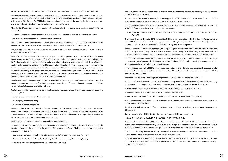### 3.6.6 ORGANISATION, MANAGEMENT AND CONTROL MODEL PURSUANT TO LEGISLATIVE DECREE 231/2001

The Company adopted the Organisation, Management and Control Model as provided for by Legislative Decree 231/2001 (hereafter also 231 Model) and subsequently updated it based on the new offences gradually included in by the government in the so-called 231 offences. The 231 Model defines procedures that are suitable for reducing the risk of the commission of offences indicated in the Decree, as well as the related sanctions' system.

When the 231 Model was adopted and subsequently updated, all activities carried out by company departments were monitored to:

- identify the most significant risk factors that could facilitate the occurrence of offences envisaged by the Decree;
- set up the controls needed to reduce these risks to the minimum

The 231 Model of the Issuer comprises a general part, which contains a description of its structure and reasons for its adoption, as well as a description of the characteristics, functions and powers of the Supervisory Body.

The general part includes also issues concerning the training of resources and procedures for distributing the 231 Model, as well as the disciplinary system.

The 231 Model is then made up of twelve special parts, each of which regulates and governs the activities carried out by company departments, for the prevention of the offences envisaged by the regulations, namely offences in relations with the Public Administration; corporate offences and market abuse offences; manslaughter and bodily harm; offences of handling stolen goods, money laundering and the use of unlawful benefits; offences of forging coins, public credit notes, duty stamps, identification instruments and distinctive signs and the infringement of copyright; computer crimes and the unlawful processing of data; organised crime offences; environmental crimes; offences of corruption among private entities; offence of induction to not make declarations or make false declarations to a Court Authority; fraud in sports competitions and illegal gambling or betting activities and tax offences.

The 231 Model has also "Annexes", which include the Code of Ethics, the contractual clause, the regulations, the composition, compensation and reasons for the (in)eligibility, expiry and removal from office of members of the Supervisory Body as well as the list of offences sanctioned by the Decree.

The following constitute also an integral part of the Organisation, Management and Control Model pursuant to Legislative Decree 231/2001:

- company procedures and operating instructions;
- the company organisation chart;
- the system of powers and proxies.

The latest update of the Model currently in force was approved at the meeting of the Board of Directors on 18 November 2020 and acknowledged the inclusion in the category of predicate offences of the administrative liability of entities, of the types of offence included in Article 25-quinquiesdecies in the context of tax crimes introduced respectively with Italian Law no. 157/2019 and with Italian Legislative Decree no. 75/2020.

The 231 Model in its entirety is available on the website www.juventus.com.

Pursuant to Legislative Decree 231/2001, the Company established a Supervisory Body, tasked with monitoring the operation of and compliance with the Organisation, Management and Control Model, and overseeing any updates; members of this Body are:

- Guglielmo Giordanengo (criminal lawyer, with no position in the Company) in a capacity as Chairman;
- Alessandra Borelli (Head of Internal Audit until 1 April 2021 and, subsequently, Head of Compliance);
- Patrizia Polliotto (civil lawyer, does not hold any office in the Company).

The configuration of the supervisory body guarantees that it meets the requirements of autonomy and independence necessary to carry out its duties.

The members of the current Supervisory Body were appointed on 25 October 2018 and will remain in office until the Shareholders' Meeting convened to approve the financial statements at 30 June 2021.

During the course of the 2020/2021 financial year, the Supervisory Board held seven meetings. During the course of the 2021/2022 financial year, the Supervisory Board held one meeting.

3.6.7 ORGANISATION, MANAGEMENT AND CONTROL MODEL PURSUANT TO ARTICLE 7, PARAGRAPH 5, FIGC BY-LAWS

The Federal Council of 1 October 2019 approved the Guidelines for the adoption of the Organisation, Management and Control Models, referred to in Article 7, paragraph 5, of the FIGC By-Laws (also called Prevention Models), suitable to prevent sports offences or acts contrary to the principles of loyalty, fairness and probity.

These Guidelines are based on a set of principles, including the adoption of a risk assessment system, the definition of the Code of Ethics and procedures, the appointment of the Guarantee Body, and specify that individual Leagues may adopt dedicated disciplinary measures to define the common requirements of the Prevention Models also for one or more specific areas.

On 9 May 2020, the Competition Office of Lega Serie A sent the Clubs the "Rules for the certification of the football event management system" (approved by the League Council on 19 February 2020) clearly concerning the management of the processes related to the organisation of the match event.

In view of the above, during the 2019/2020 season, considering that Juventus Governance system was already substantially in line with the above principles, it was decided to recall and formally develop them within the new Prevention Model coordinated with 231 Model.

The Model currently in force was adopted during the meeting of the Board of Directors of 28 May 2020.

Furthermore, in compliance with the same Guidelines, the Company established the Guarantee Body, tasked with monitoring the operation of and compliance with the Prevention Model, and overseeing updates; members of this Body are:

- Patrizia Polliotto (civil lawyer, does not hold any office in the Company), in a capacity as Chairman;
- Guglielmo Giordanengo (criminal lawyer, with no position in the Company);
- Alessandra Borelli (Head of Internal Audit until 1 April 2021 and, subsequently, Head of Compliance).

The configuration of the supervisory body guarantees that it meets the requirements of autonomy and independence necessary to carry out its duties.

The Guarantee Body will remain in office until the Shareholders' Meeting convened to approve the financial statements at 30 June 2021.

During the course of the 2020/2021 financial year, the Guarantee Body held six meetings.

3.6.9 INTERESTS OF DIRECTORS AND RELATED-PARTY TRANSACTIONS

The information required by Article 150 of Consolidated Law on Finance and Article 2391 of the Italian Civil Code is provided by the Directors to the Board of Statutory Auditors and by the delegated bodies to the Board of Directors and the Board of Statutory Auditors in the course of the meetings of the Board of Directors, which are held at least every three months.

Directors and Statutory Auditors are also given adequate information on atypical and/or unusual transactions or with related parties, conducted in the exercise of the powers delegated to them.

When a Director has an interest in an operation (even if only potential), pursuant to Article 2391 of the Italian Civil Code, the Board of Directors and the Board of Statutory Auditors must be informed in a timely manner of the nature, terms, origin and extent of this interest.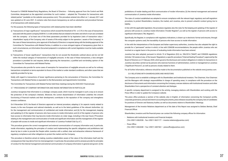Pursuant to CONSOB Related-Party Regulations, the Board of Directors – following approval from the Control and Risk Committee, designated as the appointed committee for such matters – adopted the "Procedure for transactions with related parties" (available on the website www.juventus.com). This procedure entered into effect on 1 January 2011 and was updated on 30 June 2021. It contains rules that ensure transparency as well as substantive and procedural fairness of all transactions with related parties.

For this purpose, the following types of transactions with related parties have been identified:

- a) "transactions of major significance": transactions which exceed the threshold of 5% or 2.5% in the case of transactions executed with the parent company EXOR N.V. or with entities that are related to the latter and which in turn are correlated with the company - of at least one of the three parameters provided for by legislation (ratio of transaction value / shareholders' equity of the Company; ratio of assets of the entity subject to the operation / assets of the Company). In the case of these transactions, prior approval of the Board of Directors is required along with the binding approval of the Committee for Transactions with Related Parties, in addition to a more stringent regime of transparency given that, in such circumstances, an Information Document prepared in compliance with current legislation must be made available to the public;
- b) "transactions of lesser significance": transactions that do not exceed the thresholds outlined above and do not fall within the residual category of transactions of negligible amounts. In the case of these transactions, a less stringent procedure is provided for and requires, before approving the transaction, a justified and non-binding opinion of the Committee for Transactions with Related Parties.

The procedures also provide for some cases of exemption for transactions of negligible amounts as well as for ordinary transactions completed on terms equivalent to those of the market or under standard conditions, and other cases that are explicitly provided for by law.

Solely with regard to transactions of lesser significance pertaining to the remuneration of Directors, the Committee for Transactions with Related Parties is equivalent to the Remuneration and Appointments Committee.

The Committee for Transactions with Related Parties held three meetings during the 2020/2021 financial year.

3.7 PROCESSING OF COMPANY INFORMATION AND INSIDE INFORMATION IN PARTICULAR

Juventus recognises that information is a strategic company asset, which must be managed in such a way as to ensure the protection of the company's interests. Moreover, the correct dissemination of information underlies the smooth functioning of financial markets and their development, contributes to the reputation of the company and strengthens investor confidence.

On 8 November 2019, the Board of Directors approved an internal procedure, adapting it, for aspects mainly related to issuers, to the new European and national standards, as well as to the latest guidelines of the relevant Authorities: (a) for the management and communication of confidential and inside information; and (b) for the management, keeping and updating (i) of the register of persons who have access to inside information; and (ii) of the register of persons who have access to information that may become inside information at a later stage, including in the near future ("Procedure relating to the management and communication of inside and significant information and the management of the register of people with access to inside and significant information of Juventus Football Club S.p.A.").

This procedure governs the correct management and external communication of company information and, in particular, inside information, regulating the principles of conduct and implementing the specific obligations and prohibitions laid down by law in order to provide the People within Juventus with a unified, clear and exhaustive reference framework of regulatory compliance and other obligations to protect the market and the Company.

This procedure is therefore aimed at making Juventus stakeholders aware of the value of the information itself and the consequences that may derive from its mismanagement. In particular, the procedure and its annexes provide for principles of conduct for the internal management and external communication of company information in general and govern: (i) the prohibitions of insider dealing and illicit communication of insider information; (ii) the internal management and external communication of Juventus inside information.

The rules of conduct established are adopted to ensure compliance with the relevant legal, regulatory and self-regulation procedure, to protect Shareholders, investors, the market, and Juventus, also to prevent unlawful conduct giving rise to liability.

In line with the applicable legislation, the procedure regulates also the rules for the keeping and updating of the register of persons with access to Juventus inside information ("Insider Register"), as well as the register of persons with access to significant information ("RIL Register").

Specifically, the Register, in compliance with regulatory indications, is drawn up in electronic format and ensures, through the computer systems used, the traceability of persons who have access to inside information.

In line with the interpretations of the European and Italian supervisory authorities, Juventus has also adopted the right to provide for a "permanent" section in which, in line with CONSOB recommendations, the people within Juventus who are involved on a regular basis in the process of evaluating inside information have been entered.

Juventus has also adopted, pursuant to Article 19 of Regulation (EU) no. 596/2014 ("MAR") and CONSOB regulations (Articles 152-sexies et seq. of the Issuers' Regulation), a specific procedure ("Internal Dealing Procedure"), approved by the Board of Directors on 21 February 2020, which governs the disclosure and conduct obligations in relation to transactions in Juventus securities carried out by persons who exercise functions of administration, control or management at Juventus ("Significant Persons"), as well as persons closely related to them.

For all further information, reference should be made to the documentation published on the website www.juventus.com.

3.8 RELATIONS WITH SHAREHOLDERS AND INVESTORS

The Company acts to establish a dialogue with its Shareholders and Institutional Investors. The Chairman, Vice Chairman and the Managers with strategic responsibilities in charge of operating areas, in compliance with the procedure on the disclosure of documents and information concerning the Company, oversee relations with Institutional Investors and other Shareholders from a perspective of constant attention and dialogue.

A specific company department is assigned to the activity, managing relations with Shareholders and working with the Press Office in order to update the Company's website.

The press office produces a section of the website, also in English, of information concerning the Company's profile, corporate governance, annual and interim accounting documents, press releases issued by the company, lists of candidates for positions of Director and Statutory Auditor, as well as documents relative to Shareholders' Meetings.

Management of the Investor Relations department as of the date of this Report was assigned to Stefano Bertola, Chief Financial Officer.

Shareholders, investors and the financial press can contact the following company offices for information:

- Relations with Institutional Investors and Financial Analysts (Tel.+39011-6563538 - Fax +39011-5631177 – investor.relations@juventus.com)
- Press Office (Tel.+39011-6563448 – Fax +39011-4407461 – pressoffice@juventus.com)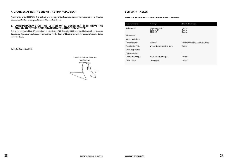### **4. CHANGES AFTER THE END OF THE FINANCIAL YEAR**

From the end of the 2020/2021 financial year until the date of the Report, no changes have occurred in the Corporate Governance structure as compared to that set forth in this Report.

### **5. CONSIDERATIONS ON THE LETTER OF 22 DECEMBER 2020 FROM THE CHAIRMAN OF THE CORPORATE GOVERNANCE COMMITTEE**

During the meeting held on 17 September 2021, the letter of 22 December 2020 from the Chairman of the Corporate Governance Committee was brought to the attention of the Board of Directors and was the subject of specific debate within the Board.

Turin, 17 September 2021

On behalf of the Board of Directors The Chairman Andrea Agnelli

### **SUMMARY TABLESI**

### **TABLE 1: POSITIONS HELD BY DIRECTORS IN OTHER COMPANIES**

| Name and Surname      | Company                                                    | Office in the company                                 |
|-----------------------|------------------------------------------------------------|-------------------------------------------------------|
| Andrea Agnelli        | Giovanni Agnelli B.V.<br><b>Stellantis NV</b><br>EXOR N.V. | <b>Director</b><br><b>Director</b><br><b>Director</b> |
| Pavel Nedved          | $\overline{\phantom{0}}$                                   | $\overline{\phantom{0}}$                              |
| Maurizio Arrivabene   | $\overline{\phantom{a}}$                                   | $\overline{\phantom{a}}$                              |
| Paolo Garimberti      | Euronews                                                   | Vice Chairman of the Supervisory Board                |
| Assia Grazioli Venier | Marquee Raine Acquisition Group                            | <b>Director</b>                                       |
| Caitlin Mary Hughes   |                                                            | -                                                     |
| Daniela Marilungo     | $\blacksquare$                                             | -                                                     |
| Francesco Roncaglio   | Banca del Piemonte S.p.A.                                  | <b>Director</b>                                       |
| Enrico Vellano        | Partner Re LTD                                             | <b>Director</b>                                       |
|                       |                                                            |                                                       |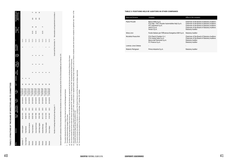### **TABLE 3: POSITIONS HELD BY AUDITORS IN OTHER COMPANIES**

**TABLE 2: STRUCTURE OF THE BOARD OF DIRECTORS AND ITS COMMITTEES**

TABLE 2: STRUCTURE OF THE BOARD OF DIRECTORS AND ITS COMMITTEES

ιĕ (a) The date of the first appointment of each director means the date when the director was appointed for the first time ever to the Board of Directors of the Issuer.

This symbol indicates the Director in charge of the Internal Control and Risk Management System.

 $\circ$  This symbol indicates the key manager of the Issuer.

r the first time ever to the Board of Directors of the Is<br>list, "BoD" list presented by the Board of Directors).<br>markets, including foreign markets, as well as in fir (b) This column indicates the list from which each director was appointed ("M": majority list; "m" minority list; "BoD" list presented by the Board of Directors).

size. Table 1 of the (c) This column indicates the number of director positions held in other companies listed on regulated markets, including foreign markets, as well as in finance companies, banks and insurance companies of significant size. ৳ • This symbol indicates the Director in charge of the Internal Control and Risk Management System.<br>◇ This symbol indicates the key manager of the Issuer.<br>(a) The date of the first appointment of each director means the da Corporate Governance Report specifies the positions in full..

(d) This column indicates the attendance of directors in meetings of the Board of Directors and of the internal Committees, respectively.

(e) This column indicates the position of the Director on the Committee: "P": chairman; "M": member.

| Office                  | <b>Members</b>                                        | Year of<br>birth | Date of first<br>appointment <sup>(a)</sup> | In office<br>from | In office<br>Ē                          | List (b) | Executive<br>j<br>Non-<br>Executive | ber Code of<br>ndep. as<br>Conduct | as per<br>TUF | o Suongod<br>No. of other | G     | Control and<br>Risk<br>$\mathfrak{g}$ | $\epsilon$ | Remuneration an<br>Appointments<br>$\mathbf{\hat{e}}$<br>$\boldsymbol{\theta}$ |              |
|-------------------------|-------------------------------------------------------|------------------|---------------------------------------------|-------------------|-----------------------------------------|----------|-------------------------------------|------------------------------------|---------------|---------------------------|-------|---------------------------------------|------------|--------------------------------------------------------------------------------|--------------|
| Chairman - <sup>0</sup> | Andrea Agnelli                                        | 06/12/1975       | 2010                                        | 25/10/2018        | Appr. of financ. stat<br>at 30/06/202   | Σ        | ×                                   |                                    |               | ო                         | 11/11 |                                       |            |                                                                                |              |
| Vice Chairman           | Pavel Nedved                                          | 30/08/1972       | 2010                                        | 25/10/2018        | Appr. of financ. stat<br>at 30/06/202   | Σ        | ×                                   |                                    |               |                           | 11/11 |                                       |            |                                                                                |              |
| Director                | Maurizio Arrivabene                                   | 07/03/1957       | 2012                                        | 25/10/2018        | Appr. of financ. stat<br>at 30/06/202   | Σ        | ×                                   |                                    |               |                           | 11/11 |                                       |            |                                                                                |              |
| Director                | Paolo Garimberti                                      | 02/02/1943       | 2012                                        | 25/10/2018        | Appr. of financ. stat<br>at 30/06/2021  | Σ        | ×                                   | ×                                  | ×             |                           | 11/11 | 15/15                                 | Σ          | 6/6                                                                            | $\mathbf{a}$ |
| Director                | Assia Grazioli Venier                                 | 31/07/1980       | 2012                                        | 25/10/2018        | Appr. of financ. stat.<br>at 30/06/2021 | ⋝        | ×                                   | ×                                  | ×             |                           | 11/11 | 15/15                                 | Σ          | 6/6                                                                            | ⋝            |
| Director                | Caitlin Mary Hughes                                   | 19/02/1980       | 2015                                        | 25/10/2018        | Appr. of financ. stat.<br>at 30/06/2021 | Σ        | ×                                   | ×                                  | ×             |                           | 11/11 |                                       |            | 6/6                                                                            | Σ            |
| Director                | Daniela Marilungo                                     | 04/11/1970       | 2015                                        | 25/10/2018        | Appr. of financ. stat<br>at 30/06/2021  | Σ        | ×                                   | ×                                  | ×             | ı                         | 11/11 | 15/15                                 | $\Omega$   |                                                                                |              |
| Director                | Francesco Roncaglio                                   | 01/12/1978       | 2015                                        | 25/10/2018        | Appr. of financ. stat<br>at 30/06/202   | Σ        | ×                                   |                                    |               |                           | 11/11 |                                       |            |                                                                                |              |
| Director                | Enrico Vellano                                        | 13/10/1967       | 2012                                        | 25/10/2018        | Appr. of financ. stat.<br>at 30/06/2021 | Σ        | ×                                   |                                    |               |                           | דווו  |                                       |            |                                                                                |              |
|                         | Number of meetings held during the reporting year: 11 |                  |                                             |                   |                                         |          |                                     |                                    |               |                           |       |                                       |            | Control and Risk Committee: 15 Remuneration and Appointments Committee: 6      |              |

hers (as per Article 147-ter of the Consolidated Law on Finance): 2.5% Quorum required for submission of lists by minority shareholders for the election of one or more members (as per Article 147-ter of the Consolidated Law on Finance): 2.5% election of one or olders for the e nar<br>Shāi È of lists by red for s requir Quorum

| Name and Surname     | Company                                                                                                                             | Office in the company                                                                                                                                                                                                |
|----------------------|-------------------------------------------------------------------------------------------------------------------------------------|----------------------------------------------------------------------------------------------------------------------------------------------------------------------------------------------------------------------|
| Paolo Piccatti       | Banca Sella S.p.A.<br>FCA Italy - FIAT Chrysler Automobiles Italy S.p.A.<br>FPT Industrial S.p.A.<br>IVECO S.p.A.<br>Ferrari S.p.A. | Chairman of the Board of Statutory Auditors<br>Chairman of the Board of Statutory Auditors<br>Chairman of the Board of Statutory Auditors<br>Chairman of the Board of Statutory Auditors<br><b>Statutory Auditor</b> |
| Silvia Lirici        | Fondo Italiano per l'Efficienza Energetica SGR S.p.A.                                                                               | <b>Statutory Auditor</b>                                                                                                                                                                                             |
| Nicoletta Paracchini | FCA Fleet & Tenders S.r.l.<br>FCA Center Italia S.p.A.<br>Banca del Piemonte S.p.A.<br>FC Finance S.p.A.                            | Chairman of the Board of Statutory Auditors<br>Chairman of the Board of Statutory Auditors<br><b>Statutory Auditor</b><br><b>Statutory Auditor</b>                                                                   |
| Lorenzo Jona Celesia | -                                                                                                                                   |                                                                                                                                                                                                                      |
| Roberto Petrignani   | Prima Industrie S.p.A.                                                                                                              | <b>Statutory Auditor</b>                                                                                                                                                                                             |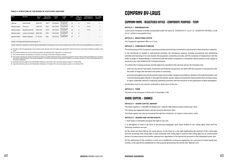### **TABLE 4: STRUCTURE OF THE BOARD OF STATUTORY AUDITORS**

(a) The date of the first appointment of each auditor means the date when the auditor was appointed for the first time ever to the Board of Statutory Auditors of the Issuer.

(b) This column indicates the list from which each auditor was appointed ("M": majority list; "m" minority list).

| Office                   | <b>Members</b>       | Year of<br>birth | Date of first<br>appointment <sup>(a)</sup> | In office<br>from | In office<br>until                      | List <sup>(b)</sup> | Indep. as<br>per Code of<br>Conduct | <b>Participation in</b><br>Board meetings (c) | No. of other<br>positions <sup>(d)</sup> |
|--------------------------|----------------------|------------------|---------------------------------------------|-------------------|-----------------------------------------|---------------------|-------------------------------------|-----------------------------------------------|------------------------------------------|
| Chairman                 | Paolo Piccatti       | 18/06/1957       | $1997^{(e)}$                                | 25/10/2018        | Appr. of financ. stat.<br>at 30/06/2021 | M                   | X                                   | 19/19                                         | 5                                        |
| <b>Statutory Auditor</b> | Silvia Lirici        | 13/03/1970       | 2012                                        | 25/10/2018        | Appr. of financ. stat.<br>at 30/06/2021 | M                   | X                                   | 19/19                                         |                                          |
| <b>Statutory Auditor</b> | Nicoletta Paracchini | 07/03/1962       | $2012^{(f)}$                                | 25/10/2018        | Appr. of financ. stat.<br>at 30/06/2021 | M                   | Χ                                   | 19/19                                         | 4                                        |
| Alternate Auditor        | Lorenzo Jona Celesia | 03/05/1969       | 2018                                        | 25/10/2018        | Appr. of financ. stat.<br>at 30/06/2021 | M                   | Χ                                   |                                               |                                          |
| Alternate Auditor        | Roberto Petrignani   | 27/10/1963       | 2009                                        | 25/10/2018        | Appr. of financ. stat.<br>at 30/06/2021 | M                   | Χ                                   | -                                             |                                          |

(c) This column indicates the attendance of Auditors in meetings of the Board of Statutory Auditors.

(d) This column indicates the number of positions as director or auditor held by the person in question, pursuant to Article 148-bis of the Consolidated Law on Finance and relative implementations in the Issuers' Regulation. The full list of positions is published by CONSOB on its website pursuant to Article 144-quinquiesdecies of the Issuers' Regulation.

(e) Appointed alternate auditor by the Shareholders' Meeting on 28 October 1997, becoming statutory auditor on 15 May 2008.

(f) Appointed alternate auditor by the Shareholders' Meeting on 26 October 2012, becoming statutory auditor on 25 October 2018.

Number of meetings held during the reporting year: 19

Quorum required for submission of lists by minority shareholders for the election of one or more members (as per Article 147-ter of the Consolidated Law on Finance): 1%

# **COMPANY BY-LAWS**

# **COMPANY NAME - REGISTERED OFFICE - CORPORATE PURPOSE - TERM**

### **ARTICLE 1 - DENOMINATION**

A joint-stock Company is hereby incorporated under the name of "JUVENTUS F.C. S.p.A." or "JUVENTUS FOOTBALL CLUB S.p.A.", written in any graphic form.

### **ARTICLE 2 - REGISTERED OFFICE**

The Company's registered office is in Turin.

### **ARTICLE 3 - CORPORATE PURPOSE**

The sole purpose of the Company is sporting activities and activities connected or instrumental to them directly or indirectly.

In the framework of related or instrumental activities, the Company's purpose includes promotional and advertising activities and licensing of its own brands, the acquisition, ownership and sale, with the exclusion of transactions with the public at large, of shareholdings in commercial and real estate companies or companies whose purpose is the supply of services in any case related to the Company purpose.

To achieve the Company purpose and the objectives specified in the sections above, the Company may:

• enter into any and all real estate, investment and financial transactions, the latter with the exclusion of transactions with

- the public at large, that are held to be useful or necessary;
- 

• promote and publicise its activity and its image using models, designs and emblems, directly or through third parties, and commercialising, again directly or through third parties, goods, objects and products bearing distinctive Company logos or signs; undertake, directly or indirectly, publishing activities, with the exclusion of the publication of daily newspapers. All activities must in any case be conducted in observance of the law.

### **ARTICLE 4 - TERM**

The term of the Company is fixed until 31 December 2100.

## **SHARE CAPITAL – SHARES**

### **ARTICLE 5 – SHARE CAPITAL AMOUNT**

The share capital is 11,406,986.56 divided into 1,330,251,988 ordinary shares without par value. The shares are registered shares and are issued in electronic form. The share capital may also be increased through the contribution of assets in kind and/or credit.

### **ARTICLE 6 – SHARES AND VOTING RIGHTS**

1. Each share is indivisible and gives the right to one vote.

2. In derogation of what is set forth in the previous paragraph, each share entitles to two voting rights when both the following conditions are met:

(a) the share has been held by the same person, on the basis of a real right legitimating the exercise of the voting right (full title ownership with voting right or bare ownership with voting right or usufruct with voting right) for an uninterrupted period of at least twenty-four months, starting from registration in the special list pursuant to the subsequent point; and

(b) the satisfaction of the condition in point (a) is certified by continuous registration, for a period of at least twenty-four months, in the special list established for that purpose governed by this article (the "Special List").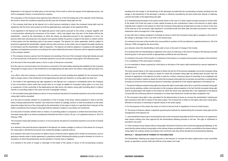- 
- 

Registration in the Special List takes place on the last day of the month in which the request of the legitimate person, set forth in paragraph 3 below, is received by the company.

The acquisition of the increased voting right becomes effective as of the first trading day of the calendar month following the month in which the conditions required by the By-Laws the increased voting right are met.

3. The company shall draw up the Special List in which persons intending to obtain the increased voting right must be registered, with the forms and content set forth by applicable laws, and keep it at the registered office.

To be registered in the Special List, the legitimate person shall submit, pursuant to this article, a request together with a communication attesting the possession of the shares - which may regard even only part of the shares held by the shareholder - issued by the intermediary at which the shares are deposited pursuant to the regulations in force. For persons other than natural persons, the request must specify whether the person is subject to the direct or indirect control of third parties and the identifying data of any parent company. The Special List, where applicable, shall be subject to provisions regarding the shareholders' register and any other provision on the matter, also as regards the public disclosure of information and the shareholders' right of inspection. The Special List shall be updated in compliance with applicable regulatory and legislative provisions, according to the criteria defined by the board of directors with its regulation published on the company website.

4. The company removes a person from the Special List (resulting in the loss of the increased voting right already accrued or, if not accrued yet, of the period of ownership required to accrue the increased voting right) in the following cases:

a) in the event of the irrevocable waiver, in full or in part, of the person concerned;

b) in the case of a communication from the person concerned or the intermediary attesting that eligibility for the increased voting right no longer exists or that entitlement to the legitimating real right and/or the relative voting right have been lost; or

c) ex officio, when the company is informed of the occurrence of events entailing that eligibility for the increased voting right no longer exists or that entitlement to the legitimating real right and, therefore, to voting rights has been lost.

5. The holder of the legitimating real right registered in the Special List is required to immediately inform the Company of any circumstance and/or event that causes them to no longer be eligible for increased voting rights or to incur loss or suspension of their ownership of the legitimating real right and/or the relative voting right (including direct or indirect transfer of controlling stakes in the cases set forth in paragraph 6 below).

6. The increased voting right already accrued or, if not accrued yet, the period of ownership required to accrue the increased voting right, shall be cancelled:

a) in the event of transfer, whether for consideration or free of charge, of the share, without prejudice to what is set forth herein, it being understood that "transfer" also means the creation of a pledge, usufruct or other encumbrance on the share when this implies the loss of the voting right by the shareholder; for the sake of clarity, it is specified that if only part of the stake is transferred, the increased voting right shall be retained in relation to any shares not transferred;

b) in the event of transfer, whether direct or indirect, of controlling stakes in companies or entities that hold shares with an increased voting right to an extent exceeding the threshold set forth in article 120, par. 2 of Legislative Decree no. 58 of 24 February 1998.

The increased voting right already accrued or, if not accrued yet, the period of ownership required to accrue the increased voting right:

a) is retained in the event the person registered in the Special List creates a pledge or usufruct on the shares for as long as the voting right is still held by the person who created the pledge or granted usufruct;

b) is retained in the event of succession on death in favour of the heir and/or legatee and in similar circumstances, such as gratuitous transfer under a family agreement or gratuitous transfer following the setting up and/or donation of a trust or a foundation of which the beneficiaries are the transferor or his/her heirs or legatees;

c) is retained in the event of merger or demerger of the holder of the shares, in favour of the incorporating company

resulting from the merger or the beneficiary of the demerger, provided that the incorporating company resulting from the merger or the beneficiary of the demerger is directly or indirectly controlled by the same entity that, directly or indirectly, controls the holder of the legitimating real right;

d) is extended proportionately to the newly issued shares in the case of a share capital increase pursuant to article 2442 of the Italian Civil Code and cases of share capital increase by new contributions made in the exercise of option rights originally due in relation to the shares for which the increased voting right has already been accrued, as well as in the case of the exercise of the conversion right attached to convertible bonds and other debt securities structured in any manner whatsoever which envisage this in their regulation;

e) may refer also to shares assigned in exchange for those to which the increased voting right is assigned, in the event of the merger or demerger, if this is set forth in the relevant plan;

f) is retained in the event of the transfer from one portfolio to another of UCIs (as defined in Legislative Decree no. 58 of 24 February 1998) managed by the same entity;

g) is retained, where the shareholding is held under a trust, in the event of change of the trustee;

h) is retained when the shareholding is registered in the name of a fiduciary, in the event of change of the fiduciary provided that the grantor is the same and this is appropriately certified by the new fiduciary;

i) is retained in the event of the transfer or contribution of the shares to a company whose parent company is the transferor or to a subsidiary of the same parent company;

j) is not extended to shares acquired by a third party on the basis of the option right transferred by a person registered in the Special List.

The newly issued shares, in the cases pursuant to letters (d) and (e) of the previous paragraph, accrue the increased voting right (i) if due to the holder in relation to shares for which the increased voting right has already been accrued, from the moment of registration in the Special List (with no need for a further continuous period of ownership to be completed); and (ii) if due to the holder in relation to shares for which the increased voting right has not yet been accrued (but is currently being accrued), as of the end of the continuous period of ownership, calculated as of the original registration in the Special List.

7. The person holding increased voting rights has always the right to irrevocably waive (all or in part) the increased voting right at any time by sending a written communication to the company, without prejudice to the fact that the increased voting right may be acquired again with respect to the shares for which the waiver was submitted with a new registration in the Special List and after the continuous period of ownership of no fewer than twenty-four months has been completed in full.

8. The increased voting right is also calculated for the determination of quora to convene the shareholders' meeting and pass resolutions that refer to shares of the share capital. The increase has no effect on the rights, other than voting rights, afforded on the basis of ownership of specific shares of the share capital.

9. For the purposes of this article, the notion of control is that set forth in regulations in force for listed issuers.

10. The board of directors adopts a regulation governing the methods for implementing the increased voting right and the management of the Special List.

11. Any amendment (improving or worsening) the rules on the increased voting right set forth in this article or its suppression shall require nothing more than approval by the Extraordinary Meeting pursuant to the law. The right of withdrawal is excluded in any event.

12. If the Company issues shares without voting rights, the Board of Directors will convene the appropriate Meetings, in the event that the shares without voting rights or the ordinary shares are delisted, to vote the convertibility of the shares without voting rights into ordinary shares according to the conversion ratio that will be decided by the Extraordinary Meeting.

### **ARTICLE 7 - DELEGATION OF POWERS TO THE DIRECTORS**

The Shareholders' Meeting may assign the power to the Directors to increase the share capital and/or issue convertible bonds, as specified in articles 2443 and 2420-*ter* of the Italian Civil Code.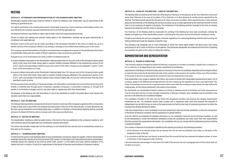# **MEETING**

### **ARTICLE 8 - ATTENDANCE AND REPRESENTATION AT THE SHAREHOLDERS' MEETING**

Shareholders holding voting share shall be entitled to attend the Meeting. Each shareholder may be represented at the Meeting as permitted by law.

The right to participate in the meeting and exercise voting rights is given by a notice made by an intermediary, which must be received by the company using the methods and terms set forth by applicable law.

The Board of Directors may decide on other ways to allow votes to be expressed electronically.

Proxies to attend the meeting and exercise voting rights in the shareholders' meeting can be given electronically, in compliance with applicable law.

Electronic notice of the proxy can be made, according to the procedures indicated in the notice of calling, by use of a specific section of the company's website or by sending a message to the certified email address given in the notice.

The company may ask intermediaries, through its centralized share management company, for the identification information of shareholders along with the number of shares registered to their accounts at a given date.

Pursuant to art. 2373 of the Italian Civil Code a conflict of interests exists for:

- a) anyone holding voting rights at the Shareholders' Meeting higher than 2% (two per cent) of the Company's share capital which at the same time holds voting rights in another football company affiliated to the professional section of the F.I.G.C. equal to the percentage needed to ensure the control of this other company as per paragraph 1, points 1 and 2 of art. 2359 of the Italian Civil Code;
- b) anyone holding voting rights at the Shareholders' Meeting higher than 10% (ten per cent) of the Company's share capital which at the same time holds voting rights in another football company affiliated to the professional section of the F.I.G.C. with a percentage of the share capital of this company higher than 2% (two per cent) but lower than the share specified in point a) above.

For the purposes of the calculation of these percentages, all voting rights must be taken into account that can be exercised, directly or indirectly, also through parent companies, subsidiary companies or associated companies, or through third parties, or on the basis of pledge, usufruct, any other rights or agreements with other shareholders.

Participants at the Meeting who find themselves in one of the situations of conflict described above must declare this situation under their own responsibility.

### **ARTICLE 9 - CALL OF MEETING**

The Ordinary Meeting shall be convened by the Board of Directors in the city of the Company's registered office or elsewhere, in Italy, at least once a year within one hundred and twenty days of the end of the financial year; in cases allowed by law, this term can be extended to one hundred eighty days. In addition, an Ordinary or Extraordinary Meeting shall be convened whenever the Board of Directors deems it proper and in the cases provided by law.

### **ARTICLE 10 - NOTICE OF MEETING**

The shareholders' meeting is called by public notice, in the terms of the law, published on the company's website or with other methods allowed by applicable law, including the required information.

The notice may indicate a single date for the meeting or it can include the first, second, and, for extraordinary sessions, a third date for the meeting.

### **ARTICLE 11 – SHAREHOLDERS' MEETING**

To determine the quorum and legitimate ability to pass shareholders' resolutions, Italian law applies. Ordinary shareholders' meetings require the majority as set forth by article 2369, section 3 of the Italian Civil Code and Extraordinary shareholders' meetings require the majority as set forth by article 2369, section 7 of the Italian Civil Code, without prejudice to the matters set forth in articles 13 and 22 for appointment of the Board of Directors and the Board of Statutory Auditors.

### **ARTICLE 12 - CHAIR OF THE MEETING – CODE OF THE MEETING**

The Meeting shall be chaired by the Chairman of the Board of Directors; in his absence, by the Vice Chairman or the most senior Vice Chairman in the case of a number of Vice Chairmen, or in their absence, by another person appointed by the Meeting. The Meeting shall appoint the Secretary and, where necessary, two tellers. When required by law, or when deemed proper by the Chairman of the Meeting, the minutes are drawn up by a notary appointed by the Chairman himself, in which case it is not necessary to appoint a Secretary. The resolutions of the Meeting shall be recorded in the form of minutes signed by the Chairman and the notary or Secretary.

The Chairman of the Meeting shall be responsible for verifying if the Meeting has been duly constituted, verifying the identity and legitimacy of the shareholders present, conducting the discussion and ascertaining the resulting of voting.

Except as provided by the previous paragraphs, all further regulations for conducting Meetings shall be determined by the Ordinary Meeting through the adoption of specific rules.

The company may designate one or more individuals to which the voting rights holders can grant proxy, with voting instructions for all or some of the items on the agenda. The individuals designated, the methods and the terms of granting the mandates are given in the notice of calling the meeting.

# **ADMINISTRATION AND REPRESENTATION**

### **ARTICLE 13 - BOARD OF DIRECTORS**

 The Company shall be managed by a Board of Directors composed of a number of members variable from a minimum of 3 to a maximum of 15 depending on the number established by the Meeting. Appointment of the Board of Directors takes place on the basis of the lists of candidates deposited at the company offices no later than the twenty-fourth day before the date of the meeting. In the presence of a number of lists, one of the members of the board of directors is expressed by the second list that has obtained the most votes. Only shareholders who, singly or together with others, are owners of shares with voting rights representing at least 2.5% of company capital or the different percentage laid down for the company by the regulations in force, may submit lists. This share of ownership must be shown in special notices which must reach the company at least twenty-one days before the meeting date. All this will be mentioned in the notice of the meeting.

No shareholder, nor shareholders linked by relations of control or related pursuant to the Italian civil code, may present or vote for more than one list, not even through a third party or fiduciary company. Each candidate may be included in only one list or will otherwise be considered ineligible.

The candidates included in the lists must be listed with progressive numbers and possess the integrity requirements established by law. The candidate named under number one in sequential order must also possess the requisite of independence as set forth by law, as well as the requirements set forth by the code of corporate governance to which the company has already declared to adhere.

Lists that include three or more candidates must also include both male and female candidates, so that the composition of the Board of Directors complies with the regulations on gender balance. Each list shall be accompanied by detailed information on the candidates' personal and professional qualities, as well as the declarations in which the individual candidates accept the candidature and state, under their own responsibility, that they possess the requirements demanded. Any candidates who do not comply with the aforesaid provisions shall be considered ineligible.

The number of directors to be elected is decided by the meeting according to the following procedure:

- 1. all the directors to be elected except one are elected from the list that has obtained most votes, on the basis of the progressive order of the list;
- 2. in accordance with the law, one director is elected from the second list that has obtained the highest number of votes, on the basis of the progressive order of the list.

Lists that obtained a percentage of votes lower than half of the amount set out in paragraph three of this article shall not be taken in account.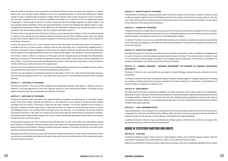However, further to the above, if the composition of the Board of Directors does not comply with regulations on gender balance, the most recently elected candidates of the more represented gender on the list that obtained the highest number of votes, considering their progressive number, will be replaced in the number necessary to ensure compliance with the above regulation by the top ranking candidates not elected on the same list of the less represented gender. If application of this procedure still does not ensure compliance with the prevailing regulation on gender balance, the most recently elected candidates of the more represented gender on the list that obtained the highest number of votes, considering their progressive number, will be replaced by the Shareholders' Meeting in the number necessary to ensure compliance with the prevailing regulation, with the majorities described in article 11.

The above rules for the appointment of the board of directors are not applied unless at least two lists have been presented or voted on in the meetings that must substitute directors during the course of their mandate. In these cases, the meeting decides with a relative majority vote to ensure compliance with the law and the By-Laws on matters of the composition of the Board of Directors.

If during the financial year one or more Directors were to leave their office, the Board shall replace the Directors in accordance with the civil code to ensure compliance with the law and the By-Laws on requirements regarding Board of Directors composition. If, due to resignation or other causes, the majority of Directors should leave office, the whole Board shall be deemed to be resigning and the Directors still in office should urgently call a Meeting for the new appointments.

The Directors remain in office for a maximum of three years and their mandate expires at the date of the Shareholders' Meeting for the approval of the last financial statements of their period in office; these Directors can be re-appointed. The term of office of any Director appointed by the Meeting in the course of a three-year term shall expire on expiry of the term of office of Directors in office at the time of the appointment.

Directors who receive definitive convictions in the courts entailing additional sentences incompatible with their position are suspended from their position for the period established by the sentence.

Directors who are subjected to disciplinary measures by the bodies of the F.I.G.C. that entail the permanent exclusion from any level and category of the F.I.G.C. must leave office and cannot fill or be nominated or elected to other Company positions.

### **ARTICLE 14 – OFFICERS OF THE BOARD**

The Board of Directors, if this has not been decided by the Shareholders' Meeting, shall appoint a Chairman among its members. It may also appoint one or more Vice Chairmen and one or more Chief Executive Officers. The Board can also appoint a Secretary who may not necessarily be a member of the Board.

### **ARTICLE 15 - MEETINGS OF THE BOARD**

The Board of Directors shall meet either at the registered office or elsewhere, provided that it is in a European country, at least every three months whenever the Chairman or a Vice Chairman or upon request of the persons duly qualified according to the law deems it necessary, or every time the same considers it in the best interests of the Company, or whenever a meeting has been requested by at least three Directors or at least two acting Statutory Auditors or bodies with delegated powers. The meetings shall be presided over by the Chairman, or in his absence, by the Vice Chairman nominated by the Board. In the event of his absence, the chair will be taken by another director nominated by the Board. The meeting shall be called by letter, telegram, fax, e-mail or similar at least three days before the date fixed for the meeting, except in the case of extreme urgency.

The disclosure required by art. 150 of Legislative Decree 58/98 and by art. 2381 of the Italian Civil Code shall be supplied by the Directors to the Board of Statutory Auditors and by the bodies with delegated powers (Executive Directors) to the Board of Directors and the Board of Statutory Auditors during the meetings of the Board of Directors, to be held at least quarterly, as stated in the previous paragraph.

Meetings of the Board of Directors may be held via means of telecommunications. In that case all the Directors present must be able to be identified and follow the discussion, take part in real time in the discussion of the matters and receive, send and consult documents.

### **ARTICLE 16 - RESOLUTIONS OF THE BOARD**

The resolutions of the Board of Directors shall be valid if at least the majority of the members is present. Resolutions shall be taken by absolute majority of votes of the Directors present at the meeting. In the event of an equal number of votes, the vote of the Chairman of the meeting shall prevail. All resolutions taken at the meeting shall be recorded in minutes signed by the Chairman of the meeting and the Secretary.

### **ARTICLE 17 - POWERS OF THE BOARD**

The Board of Directors is vested with all and every power for the ordinary and extraordinary management of the Company. The Board is therefore empowered to take such action as it shall deem proper to pursue the Company's business purpose, with the exception of the powers reserved by law to the Shareholders' Meeting.

The Board of Directors can issue non-convertible bonds and also pass resolutions regarding transactions as provided by article 2365, second paragraph, of the Italian Civil Code as well as decide for the spin-off of companies according to the provisions of the law.

### **ARTICLE 18 - EXECUTIVE COMMITTEE**

The Board can appoint an Executive Committee among its members, setting the number of members and delegating all or a part of its powers, save those powers expressly reserved by law to the Board. The same provisions of articles 15 and 16 for the Board of Directors apply with respect to the meetings and the resolutions of the Executive Committee. The Secretary to the Board is also the Secretary of the Executive Committee.

### **ARTICLE 19 - GENERAL MANAGER – MANAGER RESPONSIBLE FOR DRAWING UP COMPANY ACCOUNTING DOCUMENTS**

The Board of Directors can, as provided for by law, appoint a General Manager, setting the powers, attributions and any remuneration.

The Board of Directors shall, after consulting the Board of Statutory Auditors, appoint a manager responsible for drawing up company accounting documents; the person appointed must have several years of experience in administrative and financial matters in companies of significant size.

### **ARTICLE 20 - EMOLUMENTS**

The Board and the Executive Committee are entitled to an annual emolument which shall be voted by the Shareholders' Meeting; the manner to allocate emoluments among the Board or Committee members shall be decided by Board or Executive Committee resolution, respectively. The Directors who have been delegated special assignments or powers, after approval by the Board of Statutory Auditors, can be assigned special fees, also in the form of profit sharing. All these amounts shall be recorded under general expenses.

### **ARTICLE 21 - LEGAL REPRESENTATION**

Legal representation of the Company vis-à-vis third parties and in court proceedings shall be the duty of the Chairman and, if appointed, Vice Chairmen and Chief Executive Officers within the limits of the powers granted to them by the Board of Directors and also for the execution of the resolutions of the Board and in legal proceedings.

In addition, the Board of Directors may, as provided by law, attribute powers to other Directors, nominees or managers who will exercise such power within the limits set by the Board.

## **BOARD OF STATUTORY AUDITORS AND AUDITS**

### **ARTICLE 22 - AUDITORS**

The Board of Statutory Auditors shall consist of 3 acting Statutory Auditors and 2 alternate Statutory Auditors. Minority shareholders may appoint one standing Statutory Auditor and one alternate Statutory Auditor. Appointment of the Board of Statutory Auditors takes place on the basis of the lists of candidates deposited at the company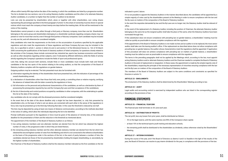offices within twenty-fifth days before the date of the meeting, in which the candidates are listed by a progressive number. The list is divided into two sections: one is for acting Statutory Auditor candidates and the other is for alternate Statutory Auditor candidates, in a number no higher than the number of auditors to be elected.

Lists can only be presented by shareholders which, alone or together with other shareholders, own voting shares representing the percentage specified in the third paragraph of article 13; this share of ownership must be shown in special notices which must reach the company at least twenty-one days before the meeting date. All this will be mentioned in the notice of the meeting.

Shareholders cannot present or vote, either through a third party or fiduciary company, more than one list. Shareholders belonging to the same group and shareholders belonging to a shareholder syndicate regarding company shares may not present or vote for more than one list, even if through third parties or fiduciary companies. Each candidate may be included on only one list, and will otherwise be considered ineligible.

Only candidates who meet the requirements on the limits on the accumulation of positions specified by the applicable regulations and who meet the requirements of these regulations and these Company By-Laws may be included in the lists. As is specified in article 1, section 2, letters b) and c) and section 3 of the Ministerial Decree no. 162 of 30 March 2000 concerning the qualifications of the board of statutory auditors of listed companies, for questions closely related to the activities of the Company, these include commercial law, industrial law, sports law, business economics and finance as well as other disciplines regarding similar subjects, even if indicated by different definitions, while the fields of activity strictly regarding the Company's operations include the fields of sport and professional sports.

Lists that, taking into account both sections, include three or more candidates must include both male and female candidates in the top two spots of the section relating to the acting auditors, so that the composition of the Board of Statutory Auditors complies with the regulations on gender balance.

Outgoing auditors may be re-elected. The lists presented must also be furnished with:

- a) information regarding the identity of the shareholders that have presented lists, with the indication of percentage of the overall shareholding owned;
- b) a declaration of shareholders other than those that hold, even jointly, a controlling share or relative majority, certifying the absence of related links with the latter covered by the regulations in force;
- c) full information on the personal and professional characteristics of the candidates, as well as a declaration by them of possessing the prerequisites required by law and the Company By-Laws and their acceptance of the candidature;
- d) the list of directorship and control positions occupied by candidates in other companies, with the undertaking to update this list at the date of the meeting.

Any candidates who do not comply with the aforesaid provisions shall be considered ineligible.

In the event that at the date of the above deadline only a single list has been deposited, i.e. only lists presented by shareholders who, on the base of what is set out above, are connected with each other in the sense of the regulations in force, lists may be presented up to the third day following that date. In this case the threshold is reduced by one half.

The lists may be deposited by using at least one means of distance communication, according to the methods described in the notice of calling, which allow the individuals depositing the list to be identified.

Prompt notification pursuant to the regulations in force must be given of the absence of minority lists, of the extended deadline for the presentation of them and the reduction in the threshold as mentioned above.

The appointment of the members of the Board of Statutory Auditors is as follows:

- 1) two acting statutory members and one alternate member are elected from the list which has obtained the highest number of votes, in the progressive order in which they are listed thereon;
- 2) the remaining acting statutory member and the other alternate statutory member are elected from the list which has obtained the second highest number of votes from the Meeting and which is not connected to the reference shareholders on the basis of the progressive order in the sections of the list; in the event of parity between a number of lists, the candidates elected are those of the list presented by shareholders holding the largest shareholding, or, secondarily, by the highest number of shareholders.

The Chairman of the Board of Statutory Auditors shall be the statutory member indicated as the first candidate on the list

### indicated in point 2 above.

If it is not possible to appoint the Statutory Auditors in the manner described above, the candidates will be appointed by a simple majority of votes cast by the shareholders present at the Meeting in order to ensure compliance with the law and the By-Laws on matters of the composition of the Board of Statutory Auditors. In the event the requisites demanded by law and the By-Laws are no longer met, the Statutory Auditor shall be relieved of office.

In the event of the replacement of a Statutory Auditor, including the position of Chairman, the alternate Statutory Auditor belonging to the same list as the resigned auditor shall take the place of the same, when the Statutory Auditors have been nominated through lists.

If this substitution does not ensure compliance with prevailing law on gender balance, a shareholders' meeting must be called as quickly as practicable to ensure complete compliance with the regulation. If the appointment of the Board of Statutory Auditors is not made via lists and an auditor is to be replaced, the most senior auditor shall take over the leaving auditor's office. If the replacement as described above does not allow compliance with prevailing law on gender balance, the auditor whose characteristics meet the regulations shall be appointed. If application of this procedure still does not achieve compliance with prevailing law on matters of gender balance, a shareholders' meeting must be called as soon as practicable to ensure compliance with this regulation.

The terms in the preceding paragraphs shall not be applied by the Meetings which, according to the law, must appoint acting Statutory Auditors and/or alternate Statutory Auditors and the Chairman needed to complete the Board of Statutory Auditors in the event of replacement or resignation. In these cases, the appointment is made by the simple majority vote of the shareholders, respecting the principle of the necessary representation of minorities ensuring compliance with the law and the By-Laws on matters of the composition of the Board of Statutory Auditors.

The members of the Board of Statutory Auditors are subject to the same conditions and constraints as specified for Directors in article 13.

### **ARTICLE 23 - EMOLUMENTS**

The emolument of the Statutory Auditors shall be determined by the Shareholders' Meeting according to law.

### **ARTICLE 24 – AUDIT**

Legal audits and accounting control is exercised by independent auditors who are listed in the corresponding register according to the provisions of law.

## **FINANCIAL STATEMENTS**

### **ARTICLE 25 – FINANCIAL YEAR END**

The financial year shall terminate on 30 June each year.

### **ARTICLE 26 – DISTRIBUTION OF PROFITS**

The net profit, less any losses from prior years, shall be distributed as follows:

- 5% to the legal reserve, until the same reaches one-fifth of the Company's share capital;
- at least 10% to the technical-sports youth training and education schools;
- the remaining profit shall be distributed to the shareholders as dividends, unless otherwise voted by the Shareholders' Meeting.

### **ARTICLE 27 – INTERIM DIVIDENDS**

During the course of the year, and if the Board of Directors so deems it and it is feasible in the light of the results of the year, the Board of Directors can resolve to pay interim dividends for the year, in compliance with the provisions of the law.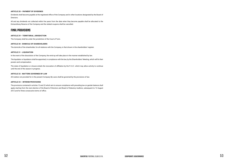### **ARTICLE 28 – PAYMENT OF DIVIDENDS**

Dividends shall become payable at the registered office of the Company and in other locations designated by the Board of Directors.

All and any dividends not collected within five years from the date when they become payable shall be allocated to the Extraordinary Reserve of the Company and the related coupons shall be cancelled.

# **FINAL PROVISIONS**

### **ARTICLE 29 – TERRITORIAL JURISDICTION**

The Company shall be under the jurisdiction of the Court of Turin.

### **ARTICLE 30 - DOMICILE OF SHAREHOLDERS**

The domicile of the shareholder, for all relations with the Company, is that shown in the shareholders' register.

### **ARTICLE 31 - LIQUIDATION**

In the event of the dissolution of the Company, the wind-up will take place in the manner established by law.

The liquidator or liquidators shall be appointed, in compliance with the law, by the Shareholders' Meeting, which will fix their powers and compensation.

The state of liquidation or closure entails the revocation of affiliation by the F.I.G.C. which may allow activity to continue until the end of the season in progress.

### **ARTICLE 32 - MATTERS GOVERNED BY LAW**

All matters not provided for in the present Company By-Laws shall be governed by the provisions of law.

### **ARTICLE 33 – INTERIM PROVISIONS**

The provisions contained in articles 13 and 22 which aim to ensure compliance with prevailing law on gender balance shall apply starting from the next election of the Board of Directors and Board of Statutory Auditors, subsequent to 12 August 2012 and for three consecutive terms of office.